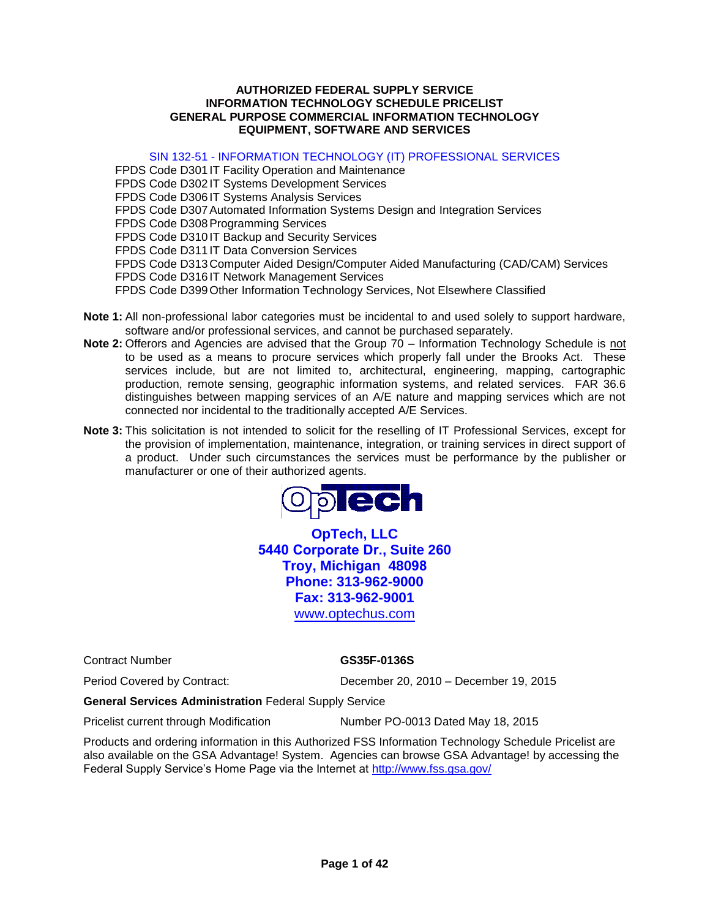#### **AUTHORIZED FEDERAL SUPPLY SERVICE INFORMATION TECHNOLOGY SCHEDULE PRICELIST GENERAL PURPOSE COMMERCIAL INFORMATION TECHNOLOGY EQUIPMENT, SOFTWARE AND SERVICES**

SIN 132-51 - INFORMATION TECHNOLOGY (IT) PROFESSIONAL SERVICES

FPDS Code D301 IT Facility Operation and Maintenance FPDS Code D302 IT Systems Development Services FPDS Code D306 IT Systems Analysis Services FPDS Code D307 Automated Information Systems Design and Integration Services FPDS Code D308 Programming Services FPDS Code D310 IT Backup and Security Services FPDS Code D311 IT Data Conversion Services FPDS Code D313 Computer Aided Design/Computer Aided Manufacturing (CAD/CAM) Services FPDS Code D316 IT Network Management Services FPDS Code D399 Other Information Technology Services, Not Elsewhere Classified

- **Note 1:** All non-professional labor categories must be incidental to and used solely to support hardware, software and/or professional services, and cannot be purchased separately.
- **Note 2:** Offerors and Agencies are advised that the Group 70 Information Technology Schedule is not to be used as a means to procure services which properly fall under the Brooks Act. These services include, but are not limited to, architectural, engineering, mapping, cartographic production, remote sensing, geographic information systems, and related services. FAR 36.6 distinguishes between mapping services of an A/E nature and mapping services which are not connected nor incidental to the traditionally accepted A/E Services.
- **Note 3:** This solicitation is not intended to solicit for the reselling of IT Professional Services, except for the provision of implementation, maintenance, integration, or training services in direct support of a product. Under such circumstances the services must be performance by the publisher or manufacturer or one of their authorized agents.



**OpTech, LLC 5440 Corporate Dr., Suite 260 Troy, Michigan 48098 Phone: 313-962-9000 Fax: 313-962-9001**  www.optechus.com

Contract Number **GS35F-0136S**

Period Covered by Contract: December 20, 2010 – December 19, 2015

**General Services Administration** Federal Supply Service

Pricelist current through Modification Number PO-0013 Dated May 18, 2015

Products and ordering information in this Authorized FSS Information Technology Schedule Pricelist are also available on the GSA Advantage! System. Agencies can browse GSA Advantage! by accessing the Federal Supply Service's Home Page via the Internet at<http://www.fss.gsa.gov/>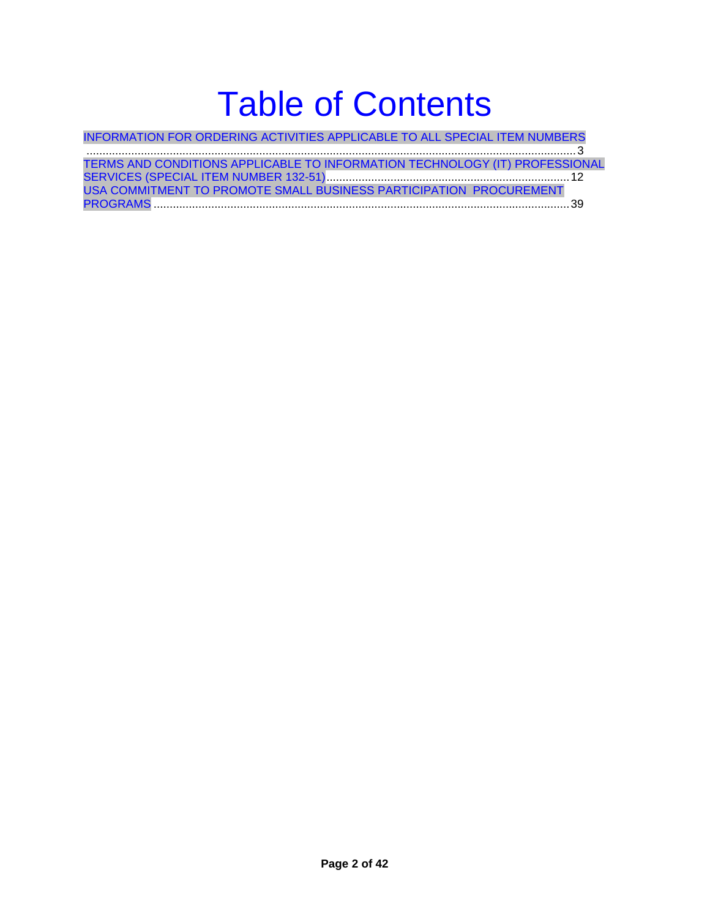# Table of Contents

INFORMATION FOR ORDERING ACTIVITIES APPLICABLE TO ALL SPECIAL ITEM NUMBERS .........................................................................................................................................................3

| TERMS AND CONDITIONS APPLICABLE TO INFORMATION TECHNOLOGY (IT) PROFESSIONAL |  |
|-----------------------------------------------------------------------------|--|
|                                                                             |  |
| USA COMMITMENT TO PROMOTE SMALL BUSINESS PARTICIPATION PROCUREMENT          |  |
|                                                                             |  |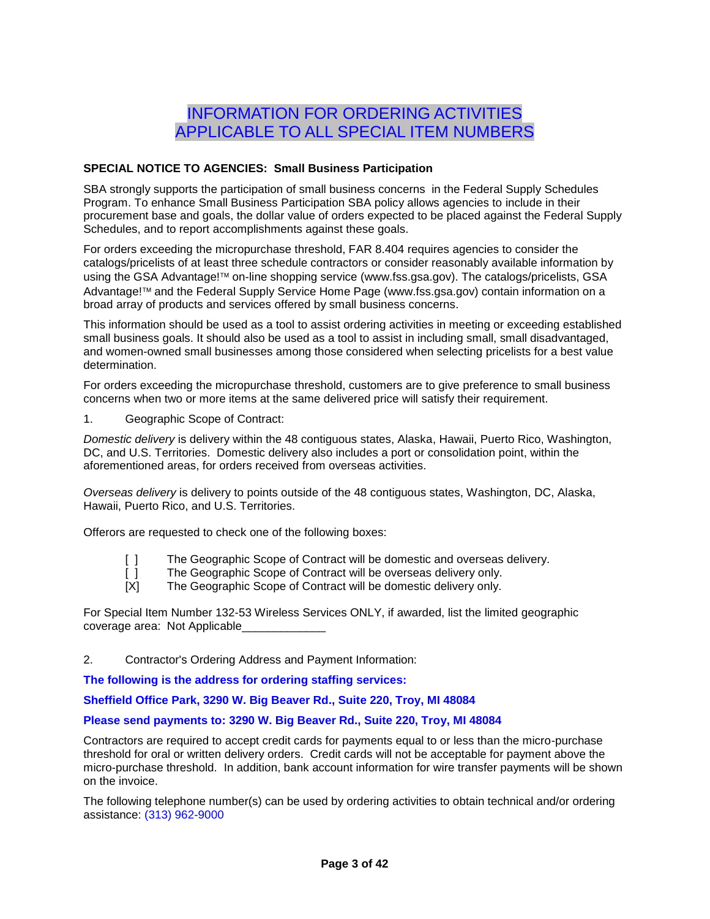# INFORMATION FOR ORDERING ACTIVITIES APPLICABLE TO ALL SPECIAL ITEM NUMBERS

### **SPECIAL NOTICE TO AGENCIES: Small Business Participation**

SBA strongly supports the participation of small business concerns in the Federal Supply Schedules Program. To enhance Small Business Participation SBA policy allows agencies to include in their procurement base and goals, the dollar value of orders expected to be placed against the Federal Supply Schedules, and to report accomplishments against these goals.

For orders exceeding the micropurchase threshold, FAR 8.404 requires agencies to consider the catalogs/pricelists of at least three schedule contractors or consider reasonably available information by using the GSA Advantage!<sup>™</sup> on-line shopping service (www.fss.gsa.gov). The catalogs/pricelists, GSA Advantage!<sup>™</sup> and the Federal Supply Service Home Page (www.fss.gsa.gov) contain information on a broad array of products and services offered by small business concerns.

This information should be used as a tool to assist ordering activities in meeting or exceeding established small business goals. It should also be used as a tool to assist in including small, small disadvantaged, and women-owned small businesses among those considered when selecting pricelists for a best value determination.

For orders exceeding the micropurchase threshold, customers are to give preference to small business concerns when two or more items at the same delivered price will satisfy their requirement.

1. Geographic Scope of Contract:

*Domestic delivery* is delivery within the 48 contiguous states, Alaska, Hawaii, Puerto Rico, Washington, DC, and U.S. Territories. Domestic delivery also includes a port or consolidation point, within the aforementioned areas, for orders received from overseas activities.

*Overseas delivery* is delivery to points outside of the 48 contiguous states, Washington, DC, Alaska, Hawaii, Puerto Rico, and U.S. Territories.

Offerors are requested to check one of the following boxes:

- [ ] The Geographic Scope of Contract will be domestic and overseas delivery.
- [ ] The Geographic Scope of Contract will be overseas delivery only.<br>[X] The Geographic Scope of Contract will be domestic delivery only.
- The Geographic Scope of Contract will be domestic delivery only.

For Special Item Number 132-53 Wireless Services ONLY, if awarded, list the limited geographic coverage area: Not Applicable\_

2. Contractor's Ordering Address and Payment Information:

**The following is the address for ordering staffing services:**

**Sheffield Office Park, 3290 W. Big Beaver Rd., Suite 220, Troy, MI 48084**

#### **Please send payments to: 3290 W. Big Beaver Rd., Suite 220, Troy, MI 48084**

Contractors are required to accept credit cards for payments equal to or less than the micro-purchase threshold for oral or written delivery orders. Credit cards will not be acceptable for payment above the micro-purchase threshold. In addition, bank account information for wire transfer payments will be shown on the invoice.

The following telephone number(s) can be used by ordering activities to obtain technical and/or ordering assistance: (313) 962-9000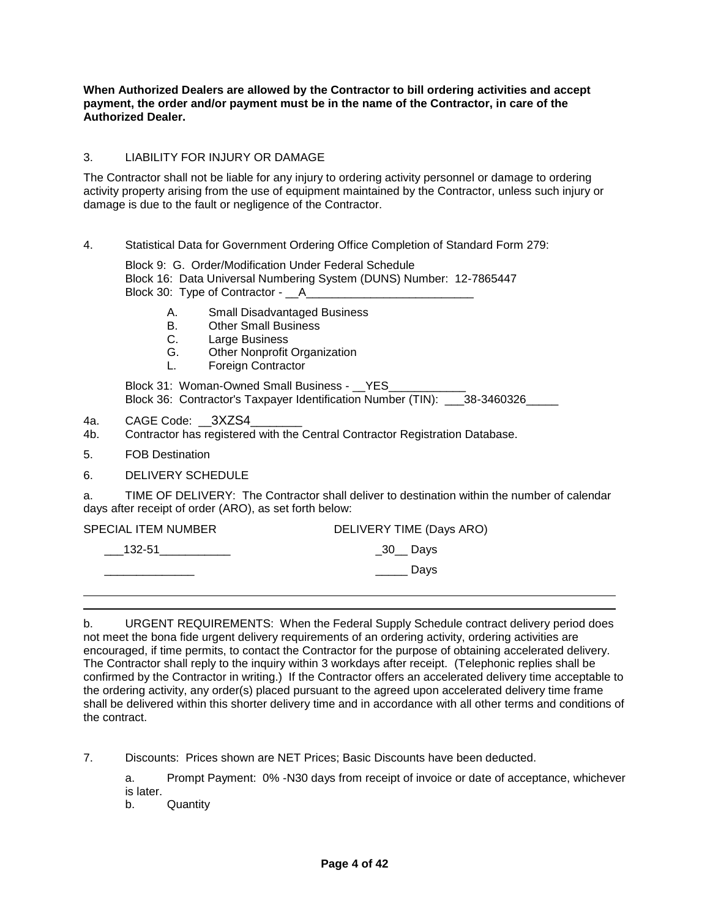**When Authorized Dealers are allowed by the Contractor to bill ordering activities and accept payment, the order and/or payment must be in the name of the Contractor, in care of the Authorized Dealer.**

### 3. LIABILITY FOR INJURY OR DAMAGE

The Contractor shall not be liable for any injury to ordering activity personnel or damage to ordering activity property arising from the use of equipment maintained by the Contractor, unless such injury or damage is due to the fault or negligence of the Contractor.

### 4. Statistical Data for Government Ordering Office Completion of Standard Form 279:

Block 9: G. Order/Modification Under Federal Schedule Block 16: Data Universal Numbering System (DUNS) Number: 12-7865447 Block 30: Type of Contractor - \_\_A\_\_\_

- A. Small Disadvantaged Business
- B. Other Small Business
- C. Large Business
- G. Other Nonprofit Organization
- L. Foreign Contractor

Block 31: Woman-Owned Small Business - \_\_ YES\_ Block 36: Contractor's Taxpayer Identification Number (TIN): \_\_\_38-3460326\_\_\_\_\_

- 4a. CAGE Code: 3XZS4
- 4b. Contractor has registered with the Central Contractor Registration Database.
- 5. FOB Destination
- 6. DELIVERY SCHEDULE

a. TIME OF DELIVERY: The Contractor shall deliver to destination within the number of calendar days after receipt of order (ARO), as set forth below:

| SPECIAL ITEM NUMBER | DELIVERY TIME (Days ARO) |
|---------------------|--------------------------|
| $\_$ 132-51         | $\_30$ Days              |
|                     | Days                     |

b. URGENT REQUIREMENTS: When the Federal Supply Schedule contract delivery period does not meet the bona fide urgent delivery requirements of an ordering activity, ordering activities are encouraged, if time permits, to contact the Contractor for the purpose of obtaining accelerated delivery. The Contractor shall reply to the inquiry within 3 workdays after receipt. (Telephonic replies shall be confirmed by the Contractor in writing.) If the Contractor offers an accelerated delivery time acceptable to the ordering activity, any order(s) placed pursuant to the agreed upon accelerated delivery time frame shall be delivered within this shorter delivery time and in accordance with all other terms and conditions of the contract.

7. Discounts: Prices shown are NET Prices; Basic Discounts have been deducted.

a. Prompt Payment: 0% -N30 days from receipt of invoice or date of acceptance, whichever is later.

b. Quantity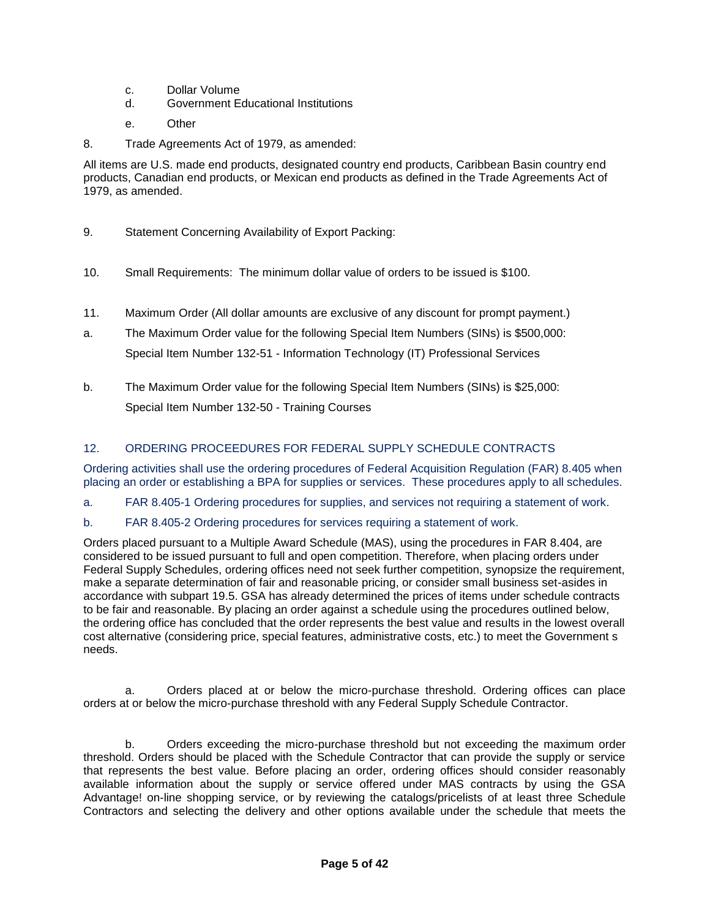- c. Dollar Volume
- d. Government Educational Institutions
- e. Other
- 8. Trade Agreements Act of 1979, as amended:

All items are U.S. made end products, designated country end products, Caribbean Basin country end products, Canadian end products, or Mexican end products as defined in the Trade Agreements Act of 1979, as amended.

- 9. Statement Concerning Availability of Export Packing:
- 10. Small Requirements: The minimum dollar value of orders to be issued is \$100.
- 11. Maximum Order (All dollar amounts are exclusive of any discount for prompt payment.)
- a. The Maximum Order value for the following Special Item Numbers (SINs) is \$500,000: Special Item Number 132-51 - Information Technology (IT) Professional Services
- b. The Maximum Order value for the following Special Item Numbers (SINs) is \$25,000: Special Item Number 132-50 - Training Courses

### 12. ORDERING PROCEEDURES FOR FEDERAL SUPPLY SCHEDULE CONTRACTS

Ordering activities shall use the ordering procedures of Federal Acquisition Regulation (FAR) 8.405 when placing an order or establishing a BPA for supplies or services. These procedures apply to all schedules.

- a. FAR 8.405-1 Ordering procedures for supplies, and services not requiring a statement of work.
- b. FAR 8.405-2 Ordering procedures for services requiring a statement of work.

Orders placed pursuant to a Multiple Award Schedule (MAS), using the procedures in FAR 8.404, are considered to be issued pursuant to full and open competition. Therefore, when placing orders under Federal Supply Schedules, ordering offices need not seek further competition, synopsize the requirement, make a separate determination of fair and reasonable pricing, or consider small business set-asides in accordance with subpart 19.5. GSA has already determined the prices of items under schedule contracts to be fair and reasonable. By placing an order against a schedule using the procedures outlined below, the ordering office has concluded that the order represents the best value and results in the lowest overall cost alternative (considering price, special features, administrative costs, etc.) to meet the Government s needs.

a. Orders placed at or below the micro-purchase threshold. Ordering offices can place orders at or below the micro-purchase threshold with any Federal Supply Schedule Contractor.

b. Orders exceeding the micro-purchase threshold but not exceeding the maximum order threshold. Orders should be placed with the Schedule Contractor that can provide the supply or service that represents the best value. Before placing an order, ordering offices should consider reasonably available information about the supply or service offered under MAS contracts by using the GSA Advantage! on-line shopping service, or by reviewing the catalogs/pricelists of at least three Schedule Contractors and selecting the delivery and other options available under the schedule that meets the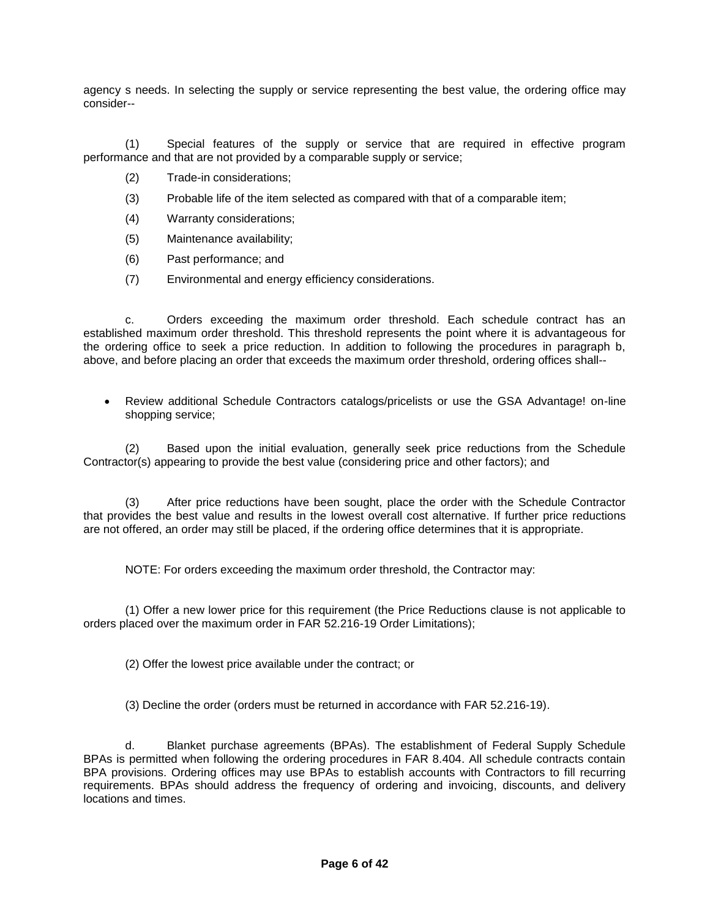agency s needs. In selecting the supply or service representing the best value, the ordering office may consider--

(1) Special features of the supply or service that are required in effective program performance and that are not provided by a comparable supply or service;

- (2) Trade-in considerations;
- (3) Probable life of the item selected as compared with that of a comparable item;
- (4) Warranty considerations;
- (5) Maintenance availability;
- (6) Past performance; and
- (7) Environmental and energy efficiency considerations.

c. Orders exceeding the maximum order threshold. Each schedule contract has an established maximum order threshold. This threshold represents the point where it is advantageous for the ordering office to seek a price reduction. In addition to following the procedures in paragraph b, above, and before placing an order that exceeds the maximum order threshold, ordering offices shall--

 Review additional Schedule Contractors catalogs/pricelists or use the GSA Advantage! on-line shopping service;

(2) Based upon the initial evaluation, generally seek price reductions from the Schedule Contractor(s) appearing to provide the best value (considering price and other factors); and

(3) After price reductions have been sought, place the order with the Schedule Contractor that provides the best value and results in the lowest overall cost alternative. If further price reductions are not offered, an order may still be placed, if the ordering office determines that it is appropriate.

NOTE: For orders exceeding the maximum order threshold, the Contractor may:

(1) Offer a new lower price for this requirement (the Price Reductions clause is not applicable to orders placed over the maximum order in FAR 52.216-19 Order Limitations);

(2) Offer the lowest price available under the contract; or

(3) Decline the order (orders must be returned in accordance with FAR 52.216-19).

d. Blanket purchase agreements (BPAs). The establishment of Federal Supply Schedule BPAs is permitted when following the ordering procedures in FAR 8.404. All schedule contracts contain BPA provisions. Ordering offices may use BPAs to establish accounts with Contractors to fill recurring requirements. BPAs should address the frequency of ordering and invoicing, discounts, and delivery locations and times.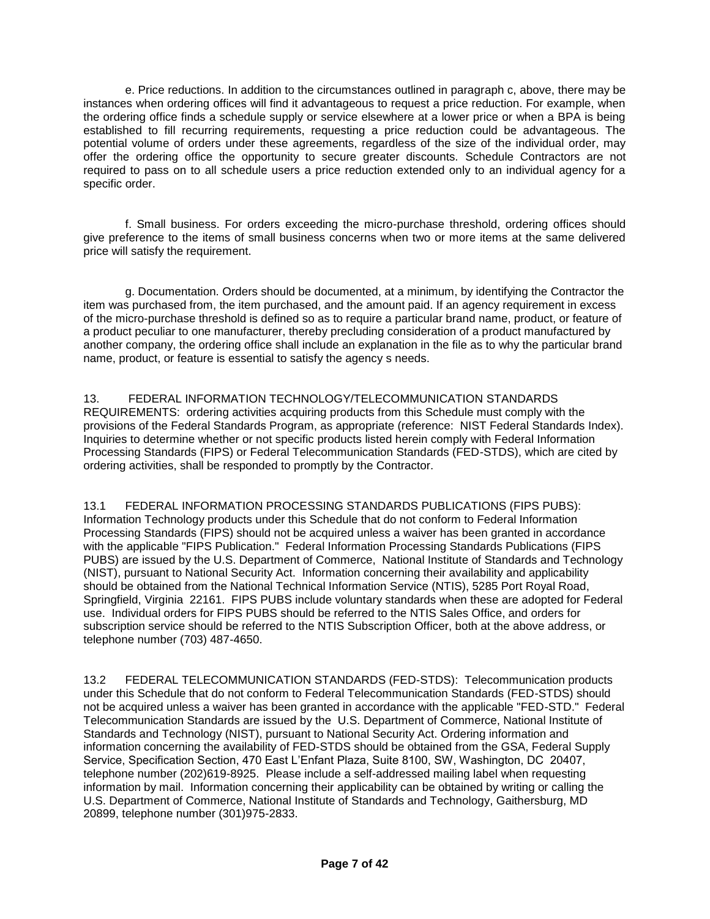e. Price reductions. In addition to the circumstances outlined in paragraph c, above, there may be instances when ordering offices will find it advantageous to request a price reduction. For example, when the ordering office finds a schedule supply or service elsewhere at a lower price or when a BPA is being established to fill recurring requirements, requesting a price reduction could be advantageous. The potential volume of orders under these agreements, regardless of the size of the individual order, may offer the ordering office the opportunity to secure greater discounts. Schedule Contractors are not required to pass on to all schedule users a price reduction extended only to an individual agency for a specific order.

f. Small business. For orders exceeding the micro-purchase threshold, ordering offices should give preference to the items of small business concerns when two or more items at the same delivered price will satisfy the requirement.

g. Documentation. Orders should be documented, at a minimum, by identifying the Contractor the item was purchased from, the item purchased, and the amount paid. If an agency requirement in excess of the micro-purchase threshold is defined so as to require a particular brand name, product, or feature of a product peculiar to one manufacturer, thereby precluding consideration of a product manufactured by another company, the ordering office shall include an explanation in the file as to why the particular brand name, product, or feature is essential to satisfy the agency s needs.

13. FEDERAL INFORMATION TECHNOLOGY/TELECOMMUNICATION STANDARDS REQUIREMENTS: ordering activities acquiring products from this Schedule must comply with the provisions of the Federal Standards Program, as appropriate (reference: NIST Federal Standards Index). Inquiries to determine whether or not specific products listed herein comply with Federal Information Processing Standards (FIPS) or Federal Telecommunication Standards (FED-STDS), which are cited by ordering activities, shall be responded to promptly by the Contractor.

13.1 FEDERAL INFORMATION PROCESSING STANDARDS PUBLICATIONS (FIPS PUBS): Information Technology products under this Schedule that do not conform to Federal Information Processing Standards (FIPS) should not be acquired unless a waiver has been granted in accordance with the applicable "FIPS Publication." Federal Information Processing Standards Publications (FIPS PUBS) are issued by the U.S. Department of Commerce, National Institute of Standards and Technology (NIST), pursuant to National Security Act. Information concerning their availability and applicability should be obtained from the National Technical Information Service (NTIS), 5285 Port Royal Road, Springfield, Virginia 22161. FIPS PUBS include voluntary standards when these are adopted for Federal use. Individual orders for FIPS PUBS should be referred to the NTIS Sales Office, and orders for subscription service should be referred to the NTIS Subscription Officer, both at the above address, or telephone number (703) 487-4650.

13.2 FEDERAL TELECOMMUNICATION STANDARDS (FED-STDS): Telecommunication products under this Schedule that do not conform to Federal Telecommunication Standards (FED-STDS) should not be acquired unless a waiver has been granted in accordance with the applicable "FED-STD." Federal Telecommunication Standards are issued by the U.S. Department of Commerce, National Institute of Standards and Technology (NIST), pursuant to National Security Act. Ordering information and information concerning the availability of FED-STDS should be obtained from the GSA, Federal Supply Service, Specification Section, 470 East L'Enfant Plaza, Suite 8100, SW, Washington, DC 20407, telephone number (202)619-8925. Please include a self-addressed mailing label when requesting information by mail. Information concerning their applicability can be obtained by writing or calling the U.S. Department of Commerce, National Institute of Standards and Technology, Gaithersburg, MD 20899, telephone number (301)975-2833.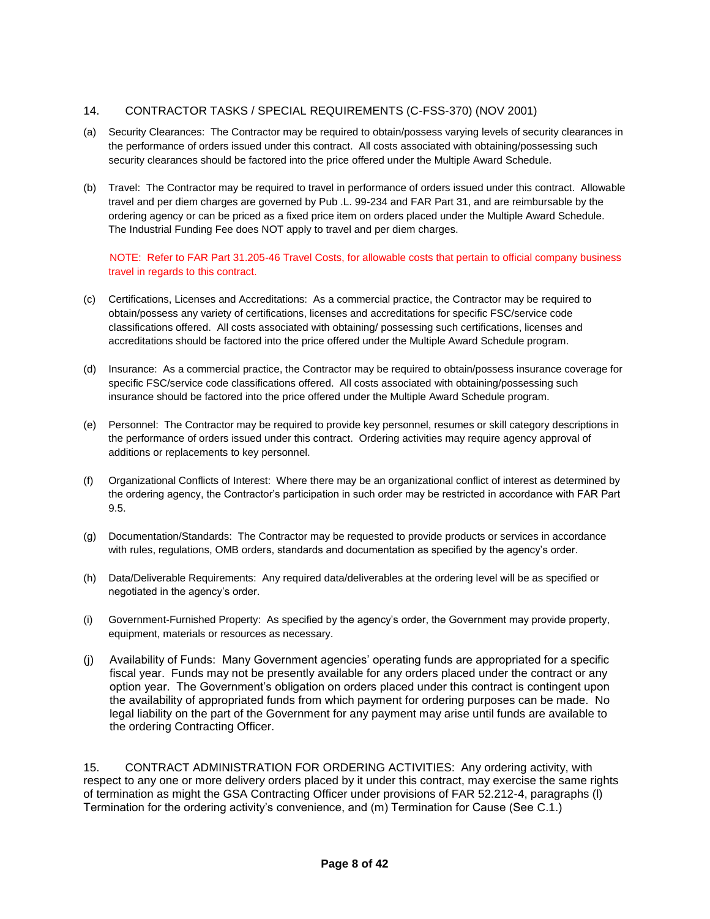### 14. CONTRACTOR TASKS / SPECIAL REQUIREMENTS (C-FSS-370) (NOV 2001)

- (a) Security Clearances: The Contractor may be required to obtain/possess varying levels of security clearances in the performance of orders issued under this contract. All costs associated with obtaining/possessing such security clearances should be factored into the price offered under the Multiple Award Schedule.
- (b) Travel: The Contractor may be required to travel in performance of orders issued under this contract. Allowable travel and per diem charges are governed by Pub .L. 99-234 and FAR Part 31, and are reimbursable by the ordering agency or can be priced as a fixed price item on orders placed under the Multiple Award Schedule. The Industrial Funding Fee does NOT apply to travel and per diem charges.

#### NOTE: Refer to FAR Part 31.205-46 Travel Costs, for allowable costs that pertain to official company business travel in regards to this contract.

- (c) Certifications, Licenses and Accreditations: As a commercial practice, the Contractor may be required to obtain/possess any variety of certifications, licenses and accreditations for specific FSC/service code classifications offered. All costs associated with obtaining/ possessing such certifications, licenses and accreditations should be factored into the price offered under the Multiple Award Schedule program.
- (d) Insurance: As a commercial practice, the Contractor may be required to obtain/possess insurance coverage for specific FSC/service code classifications offered. All costs associated with obtaining/possessing such insurance should be factored into the price offered under the Multiple Award Schedule program.
- (e) Personnel: The Contractor may be required to provide key personnel, resumes or skill category descriptions in the performance of orders issued under this contract. Ordering activities may require agency approval of additions or replacements to key personnel.
- (f) Organizational Conflicts of Interest: Where there may be an organizational conflict of interest as determined by the ordering agency, the Contractor's participation in such order may be restricted in accordance with FAR Part 9.5.
- (g) Documentation/Standards: The Contractor may be requested to provide products or services in accordance with rules, regulations, OMB orders, standards and documentation as specified by the agency's order.
- (h) Data/Deliverable Requirements: Any required data/deliverables at the ordering level will be as specified or negotiated in the agency's order.
- (i) Government-Furnished Property: As specified by the agency's order, the Government may provide property, equipment, materials or resources as necessary.
- (j) Availability of Funds: Many Government agencies' operating funds are appropriated for a specific fiscal year. Funds may not be presently available for any orders placed under the contract or any option year. The Government's obligation on orders placed under this contract is contingent upon the availability of appropriated funds from which payment for ordering purposes can be made. No legal liability on the part of the Government for any payment may arise until funds are available to the ordering Contracting Officer.

15. CONTRACT ADMINISTRATION FOR ORDERING ACTIVITIES: Any ordering activity, with respect to any one or more delivery orders placed by it under this contract, may exercise the same rights of termination as might the GSA Contracting Officer under provisions of FAR 52.212-4, paragraphs (l) Termination for the ordering activity's convenience, and (m) Termination for Cause (See C.1.)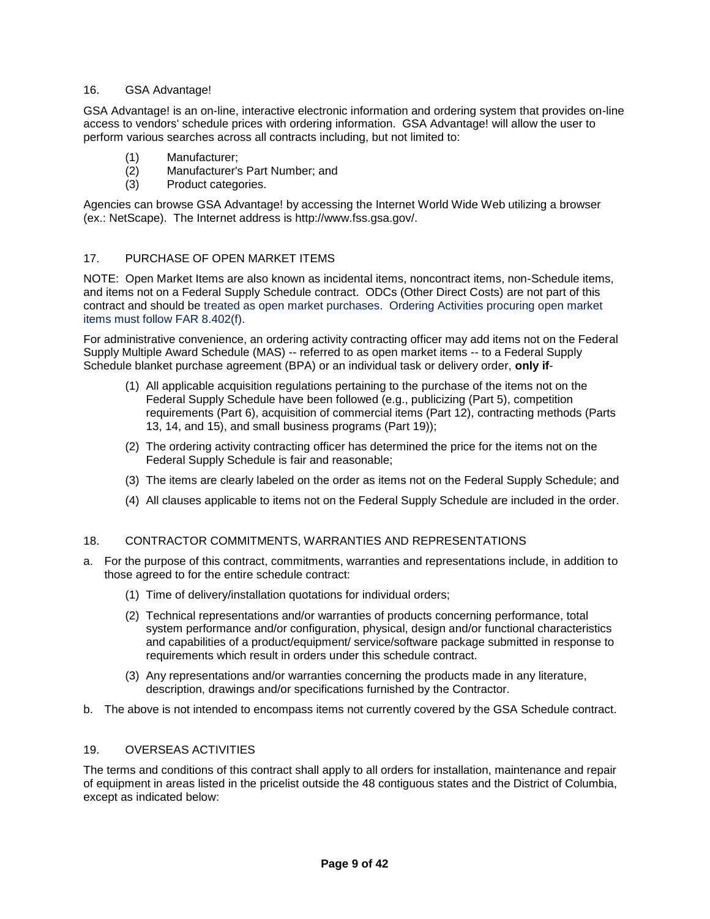### 16. GSA Advantage!

GSA Advantage! is an on-line, interactive electronic information and ordering system that provides on-line access to vendors' schedule prices with ordering information. GSA Advantage! will allow the user to perform various searches across all contracts including, but not limited to:

- (1) Manufacturer;
- (2) Manufacturer's Part Number; and
- (3) Product categories.

Agencies can browse GSA Advantage! by accessing the Internet World Wide Web utilizing a browser (ex.: NetScape). The Internet address is http://www.fss.gsa.gov/.

#### 17. PURCHASE OF OPEN MARKET ITEMS

NOTE: Open Market Items are also known as incidental items, noncontract items, non-Schedule items, and items not on a Federal Supply Schedule contract. ODCs (Other Direct Costs) are not part of this contract and should be treated as open market purchases. Ordering Activities procuring open market items must follow FAR 8.402(f).

For administrative convenience, an ordering activity contracting officer may add items not on the Federal Supply Multiple Award Schedule (MAS) -- referred to as open market items -- to a Federal Supply Schedule blanket purchase agreement (BPA) or an individual task or delivery order, **only if**-

- (1) All applicable acquisition regulations pertaining to the purchase of the items not on the Federal Supply Schedule have been followed (e.g., publicizing (Part 5), competition requirements (Part 6), acquisition of commercial items (Part 12), contracting methods (Parts 13, 14, and 15), and small business programs (Part 19));
- (2) The ordering activity contracting officer has determined the price for the items not on the Federal Supply Schedule is fair and reasonable;
- (3) The items are clearly labeled on the order as items not on the Federal Supply Schedule; and
- (4) All clauses applicable to items not on the Federal Supply Schedule are included in the order.

#### 18. CONTRACTOR COMMITMENTS, WARRANTIES AND REPRESENTATIONS

- a. For the purpose of this contract, commitments, warranties and representations include, in addition to those agreed to for the entire schedule contract:
	- (1) Time of delivery/installation quotations for individual orders;
	- (2) Technical representations and/or warranties of products concerning performance, total system performance and/or configuration, physical, design and/or functional characteristics and capabilities of a product/equipment/ service/software package submitted in response to requirements which result in orders under this schedule contract.
	- (3) Any representations and/or warranties concerning the products made in any literature, description, drawings and/or specifications furnished by the Contractor.
- b. The above is not intended to encompass items not currently covered by the GSA Schedule contract.

#### 19. OVERSEAS ACTIVITIES

The terms and conditions of this contract shall apply to all orders for installation, maintenance and repair of equipment in areas listed in the pricelist outside the 48 contiguous states and the District of Columbia, except as indicated below: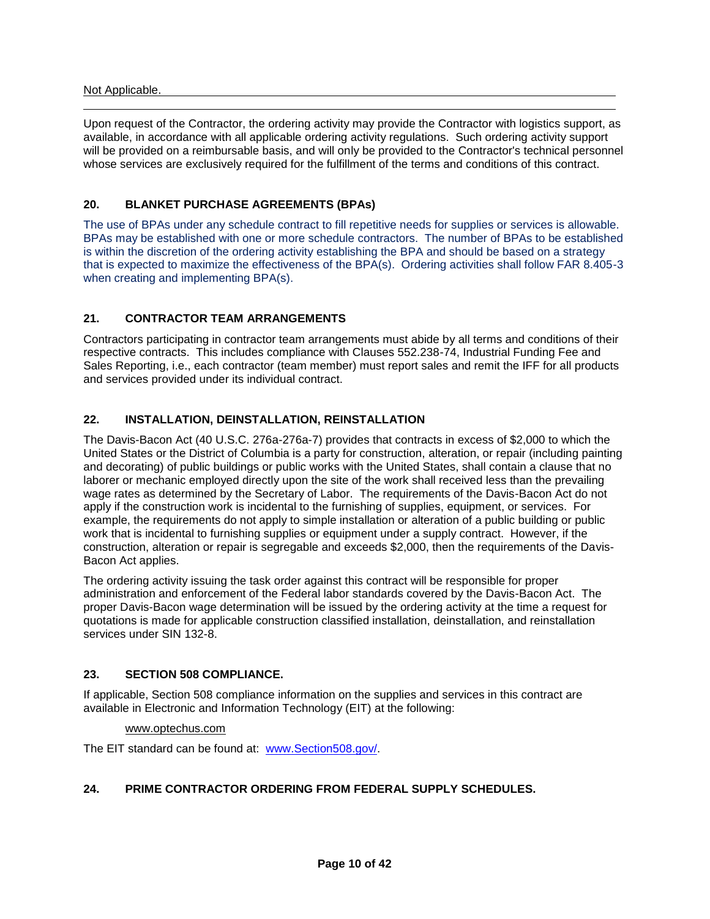#### Not Applicable.

Upon request of the Contractor, the ordering activity may provide the Contractor with logistics support, as available, in accordance with all applicable ordering activity regulations. Such ordering activity support will be provided on a reimbursable basis, and will only be provided to the Contractor's technical personnel whose services are exclusively required for the fulfillment of the terms and conditions of this contract.

### **20. BLANKET PURCHASE AGREEMENTS (BPAs)**

The use of BPAs under any schedule contract to fill repetitive needs for supplies or services is allowable. BPAs may be established with one or more schedule contractors. The number of BPAs to be established is within the discretion of the ordering activity establishing the BPA and should be based on a strategy that is expected to maximize the effectiveness of the BPA(s). Ordering activities shall follow FAR 8.405-3 when creating and implementing BPA(s).

### **21. CONTRACTOR TEAM ARRANGEMENTS**

Contractors participating in contractor team arrangements must abide by all terms and conditions of their respective contracts. This includes compliance with Clauses 552.238-74, Industrial Funding Fee and Sales Reporting, i.e., each contractor (team member) must report sales and remit the IFF for all products and services provided under its individual contract.

### **22. INSTALLATION, DEINSTALLATION, REINSTALLATION**

The Davis-Bacon Act (40 U.S.C. 276a-276a-7) provides that contracts in excess of \$2,000 to which the United States or the District of Columbia is a party for construction, alteration, or repair (including painting and decorating) of public buildings or public works with the United States, shall contain a clause that no laborer or mechanic employed directly upon the site of the work shall received less than the prevailing wage rates as determined by the Secretary of Labor. The requirements of the Davis-Bacon Act do not apply if the construction work is incidental to the furnishing of supplies, equipment, or services. For example, the requirements do not apply to simple installation or alteration of a public building or public work that is incidental to furnishing supplies or equipment under a supply contract. However, if the construction, alteration or repair is segregable and exceeds \$2,000, then the requirements of the Davis-Bacon Act applies.

The ordering activity issuing the task order against this contract will be responsible for proper administration and enforcement of the Federal labor standards covered by the Davis-Bacon Act. The proper Davis-Bacon wage determination will be issued by the ordering activity at the time a request for quotations is made for applicable construction classified installation, deinstallation, and reinstallation services under SIN 132-8.

### **23. SECTION 508 COMPLIANCE.**

If applicable, Section 508 compliance information on the supplies and services in this contract are available in Electronic and Information Technology (EIT) at the following:

#### www.optechus.com

The EIT standard can be found at: [www.Section508.gov/.](http://www.section508.gov/)

### **24. PRIME CONTRACTOR ORDERING FROM FEDERAL SUPPLY SCHEDULES.**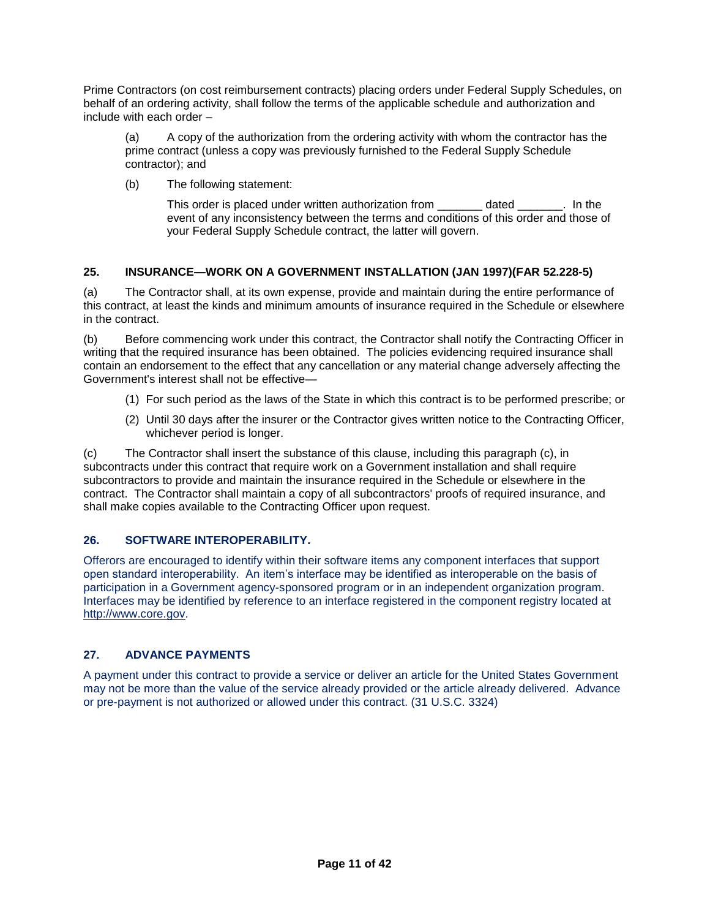Prime Contractors (on cost reimbursement contracts) placing orders under Federal Supply Schedules, on behalf of an ordering activity, shall follow the terms of the applicable schedule and authorization and include with each order –

(a) A copy of the authorization from the ordering activity with whom the contractor has the prime contract (unless a copy was previously furnished to the Federal Supply Schedule contractor); and

(b) The following statement:

This order is placed under written authorization from \_\_\_\_\_\_\_ dated \_\_\_\_\_\_\_. In the event of any inconsistency between the terms and conditions of this order and those of your Federal Supply Schedule contract, the latter will govern.

### **25. INSURANCE—WORK ON A GOVERNMENT INSTALLATION (JAN 1997)(FAR 52.228-5)**

(a) The Contractor shall, at its own expense, provide and maintain during the entire performance of this contract, at least the kinds and minimum amounts of insurance required in the Schedule or elsewhere in the contract.

(b) Before commencing work under this contract, the Contractor shall notify the Contracting Officer in writing that the required insurance has been obtained. The policies evidencing required insurance shall contain an endorsement to the effect that any cancellation or any material change adversely affecting the Government's interest shall not be effective—

- (1) For such period as the laws of the State in which this contract is to be performed prescribe; or
- (2) Until 30 days after the insurer or the Contractor gives written notice to the Contracting Officer, whichever period is longer.

(c) The Contractor shall insert the substance of this clause, including this paragraph (c), in subcontracts under this contract that require work on a Government installation and shall require subcontractors to provide and maintain the insurance required in the Schedule or elsewhere in the contract. The Contractor shall maintain a copy of all subcontractors' proofs of required insurance, and shall make copies available to the Contracting Officer upon request.

### **26. SOFTWARE INTEROPERABILITY.**

Offerors are encouraged to identify within their software items any component interfaces that support open standard interoperability. An item's interface may be identified as interoperable on the basis of participation in a Government agency-sponsored program or in an independent organization program. Interfaces may be identified by reference to an interface registered in the component registry located at [http://www.core.gov.](http://www.core.gov/)

### **27. ADVANCE PAYMENTS**

A payment under this contract to provide a service or deliver an article for the United States Government may not be more than the value of the service already provided or the article already delivered. Advance or pre-payment is not authorized or allowed under this contract. (31 U.S.C. 3324)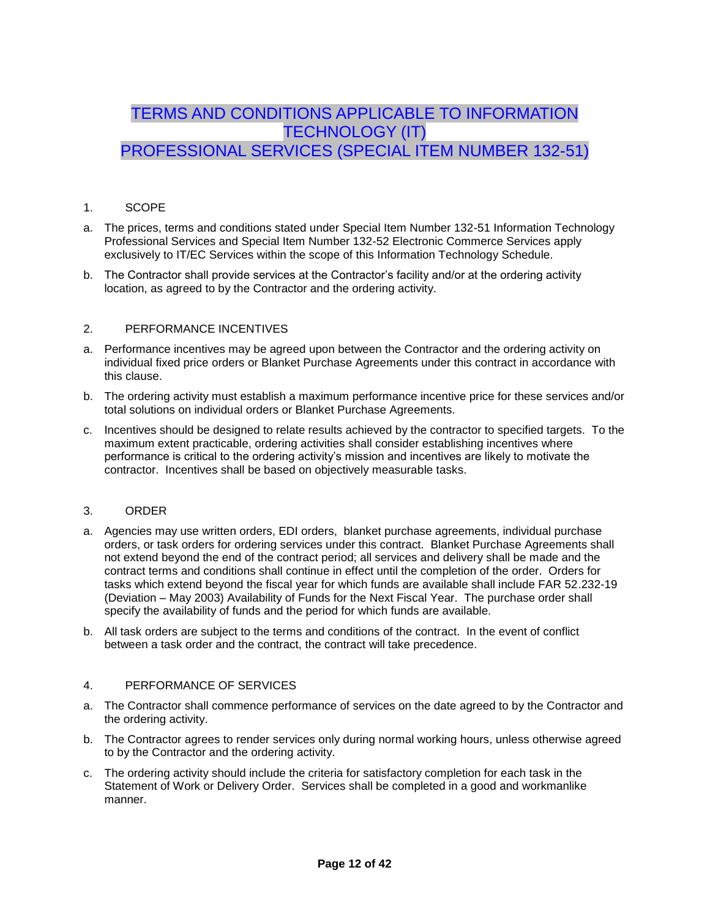# TERMS AND CONDITIONS APPLICABLE TO INFORMATION TECHNOLOGY (IT) PROFESSIONAL SERVICES (SPECIAL ITEM NUMBER 132-51)

### 1. SCOPE

- a. The prices, terms and conditions stated under Special Item Number 132-51 Information Technology Professional Services and Special Item Number 132-52 Electronic Commerce Services apply exclusively to IT/EC Services within the scope of this Information Technology Schedule.
- b. The Contractor shall provide services at the Contractor's facility and/or at the ordering activity location, as agreed to by the Contractor and the ordering activity.

### 2. PERFORMANCE INCENTIVES

- a. Performance incentives may be agreed upon between the Contractor and the ordering activity on individual fixed price orders or Blanket Purchase Agreements under this contract in accordance with this clause.
- b. The ordering activity must establish a maximum performance incentive price for these services and/or total solutions on individual orders or Blanket Purchase Agreements.
- c. Incentives should be designed to relate results achieved by the contractor to specified targets. To the maximum extent practicable, ordering activities shall consider establishing incentives where performance is critical to the ordering activity's mission and incentives are likely to motivate the contractor. Incentives shall be based on objectively measurable tasks.

#### 3. ORDER

- a. Agencies may use written orders, EDI orders, blanket purchase agreements, individual purchase orders, or task orders for ordering services under this contract. Blanket Purchase Agreements shall not extend beyond the end of the contract period; all services and delivery shall be made and the contract terms and conditions shall continue in effect until the completion of the order. Orders for tasks which extend beyond the fiscal year for which funds are available shall include FAR 52.232-19 (Deviation – May 2003) Availability of Funds for the Next Fiscal Year. The purchase order shall specify the availability of funds and the period for which funds are available.
- b. All task orders are subject to the terms and conditions of the contract. In the event of conflict between a task order and the contract, the contract will take precedence.

### 4. PERFORMANCE OF SERVICES

- a. The Contractor shall commence performance of services on the date agreed to by the Contractor and the ordering activity.
- b. The Contractor agrees to render services only during normal working hours, unless otherwise agreed to by the Contractor and the ordering activity.
- c. The ordering activity should include the criteria for satisfactory completion for each task in the Statement of Work or Delivery Order. Services shall be completed in a good and workmanlike manner.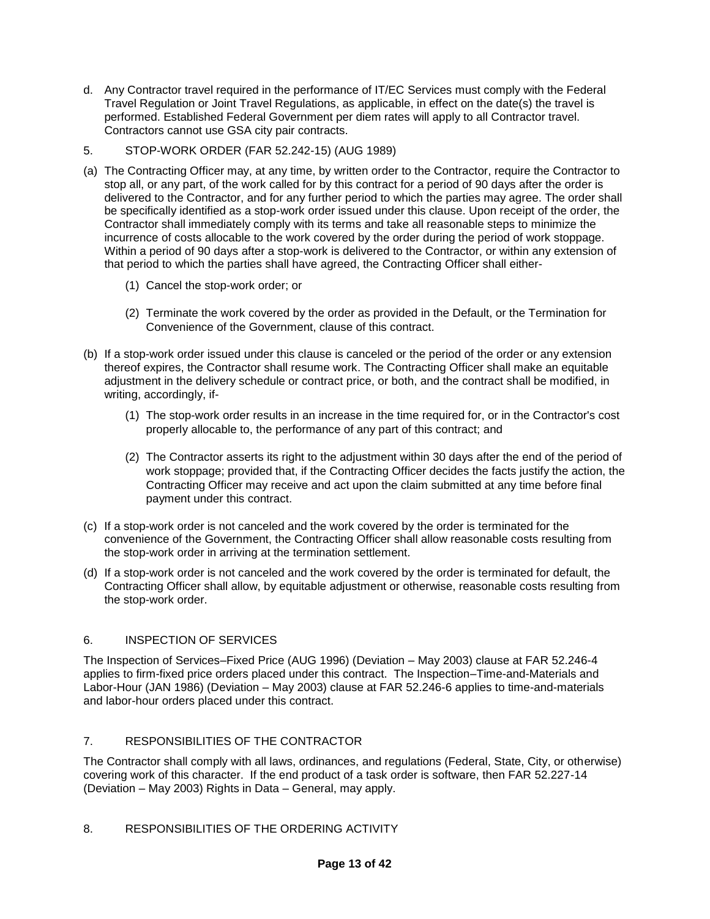- d. Any Contractor travel required in the performance of IT/EC Services must comply with the Federal Travel Regulation or Joint Travel Regulations, as applicable, in effect on the date(s) the travel is performed. Established Federal Government per diem rates will apply to all Contractor travel. Contractors cannot use GSA city pair contracts.
- 5. STOP-WORK ORDER (FAR 52.242-15) (AUG 1989)
- (a) The Contracting Officer may, at any time, by written order to the Contractor, require the Contractor to stop all, or any part, of the work called for by this contract for a period of 90 days after the order is delivered to the Contractor, and for any further period to which the parties may agree. The order shall be specifically identified as a stop-work order issued under this clause. Upon receipt of the order, the Contractor shall immediately comply with its terms and take all reasonable steps to minimize the incurrence of costs allocable to the work covered by the order during the period of work stoppage. Within a period of 90 days after a stop-work is delivered to the Contractor, or within any extension of that period to which the parties shall have agreed, the Contracting Officer shall either-
	- (1) Cancel the stop-work order; or
	- (2) Terminate the work covered by the order as provided in the Default, or the Termination for Convenience of the Government, clause of this contract.
- (b) If a stop-work order issued under this clause is canceled or the period of the order or any extension thereof expires, the Contractor shall resume work. The Contracting Officer shall make an equitable adjustment in the delivery schedule or contract price, or both, and the contract shall be modified, in writing, accordingly, if-
	- (1) The stop-work order results in an increase in the time required for, or in the Contractor's cost properly allocable to, the performance of any part of this contract; and
	- (2) The Contractor asserts its right to the adjustment within 30 days after the end of the period of work stoppage; provided that, if the Contracting Officer decides the facts justify the action, the Contracting Officer may receive and act upon the claim submitted at any time before final payment under this contract.
- (c) If a stop-work order is not canceled and the work covered by the order is terminated for the convenience of the Government, the Contracting Officer shall allow reasonable costs resulting from the stop-work order in arriving at the termination settlement.
- (d) If a stop-work order is not canceled and the work covered by the order is terminated for default, the Contracting Officer shall allow, by equitable adjustment or otherwise, reasonable costs resulting from the stop-work order.

### 6. INSPECTION OF SERVICES

The Inspection of Services–Fixed Price (AUG 1996) (Deviation – May 2003) clause at FAR 52.246-4 applies to firm-fixed price orders placed under this contract. The Inspection–Time-and-Materials and Labor-Hour (JAN 1986) (Deviation – May 2003) clause at FAR 52.246-6 applies to time-and-materials and labor-hour orders placed under this contract.

### 7. RESPONSIBILITIES OF THE CONTRACTOR

The Contractor shall comply with all laws, ordinances, and regulations (Federal, State, City, or otherwise) covering work of this character. If the end product of a task order is software, then FAR 52.227-14 (Deviation – May 2003) Rights in Data – General, may apply.

### 8. RESPONSIBILITIES OF THE ORDERING ACTIVITY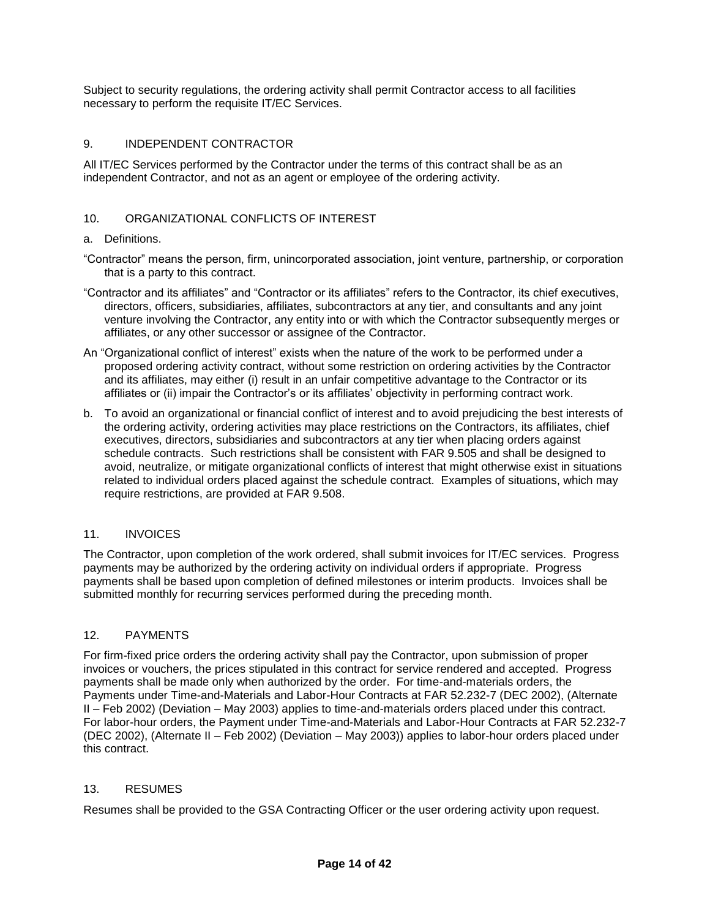Subject to security regulations, the ordering activity shall permit Contractor access to all facilities necessary to perform the requisite IT/EC Services.

### 9. INDEPENDENT CONTRACTOR

All IT/EC Services performed by the Contractor under the terms of this contract shall be as an independent Contractor, and not as an agent or employee of the ordering activity.

### 10. ORGANIZATIONAL CONFLICTS OF INTEREST

#### a. Definitions.

"Contractor" means the person, firm, unincorporated association, joint venture, partnership, or corporation that is a party to this contract.

- "Contractor and its affiliates" and "Contractor or its affiliates" refers to the Contractor, its chief executives, directors, officers, subsidiaries, affiliates, subcontractors at any tier, and consultants and any joint venture involving the Contractor, any entity into or with which the Contractor subsequently merges or affiliates, or any other successor or assignee of the Contractor.
- An "Organizational conflict of interest" exists when the nature of the work to be performed under a proposed ordering activity contract, without some restriction on ordering activities by the Contractor and its affiliates, may either (i) result in an unfair competitive advantage to the Contractor or its affiliates or (ii) impair the Contractor's or its affiliates' objectivity in performing contract work.
- b. To avoid an organizational or financial conflict of interest and to avoid prejudicing the best interests of the ordering activity, ordering activities may place restrictions on the Contractors, its affiliates, chief executives, directors, subsidiaries and subcontractors at any tier when placing orders against schedule contracts. Such restrictions shall be consistent with FAR 9.505 and shall be designed to avoid, neutralize, or mitigate organizational conflicts of interest that might otherwise exist in situations related to individual orders placed against the schedule contract. Examples of situations, which may require restrictions, are provided at FAR 9.508.

#### 11. INVOICES

The Contractor, upon completion of the work ordered, shall submit invoices for IT/EC services. Progress payments may be authorized by the ordering activity on individual orders if appropriate. Progress payments shall be based upon completion of defined milestones or interim products. Invoices shall be submitted monthly for recurring services performed during the preceding month.

#### 12. PAYMENTS

For firm-fixed price orders the ordering activity shall pay the Contractor, upon submission of proper invoices or vouchers, the prices stipulated in this contract for service rendered and accepted. Progress payments shall be made only when authorized by the order. For time-and-materials orders, the Payments under Time-and-Materials and Labor-Hour Contracts at FAR 52.232-7 (DEC 2002), (Alternate II – Feb 2002) (Deviation – May 2003) applies to time-and-materials orders placed under this contract. For labor-hour orders, the Payment under Time-and-Materials and Labor-Hour Contracts at FAR 52.232-7 (DEC 2002), (Alternate II – Feb 2002) (Deviation – May 2003)) applies to labor-hour orders placed under this contract.

#### 13. RESUMES

Resumes shall be provided to the GSA Contracting Officer or the user ordering activity upon request.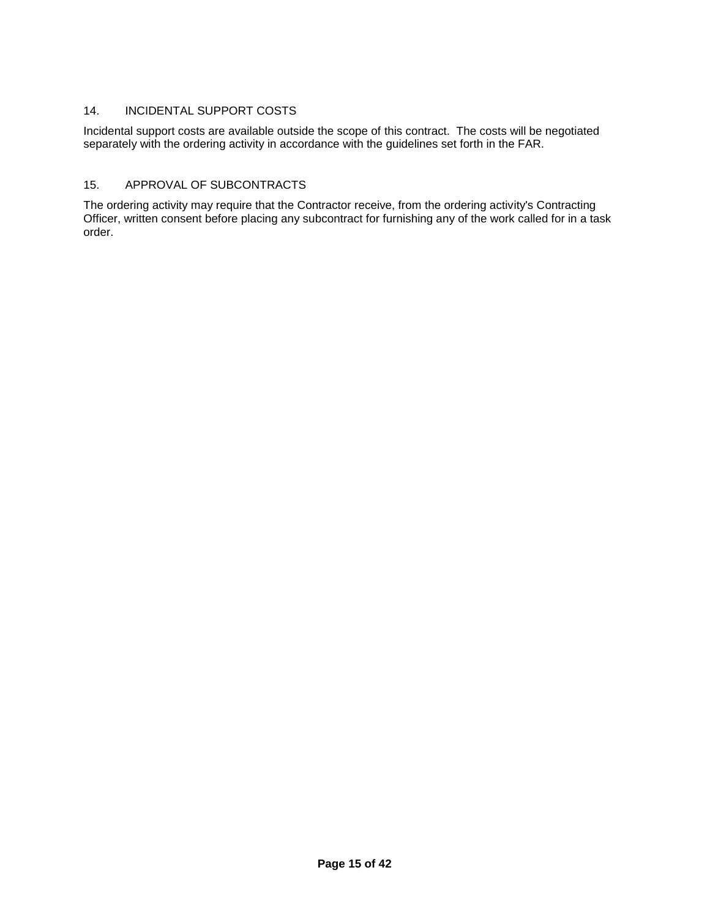### 14. INCIDENTAL SUPPORT COSTS

Incidental support costs are available outside the scope of this contract. The costs will be negotiated separately with the ordering activity in accordance with the guidelines set forth in the FAR.

### 15. APPROVAL OF SUBCONTRACTS

The ordering activity may require that the Contractor receive, from the ordering activity's Contracting Officer, written consent before placing any subcontract for furnishing any of the work called for in a task order.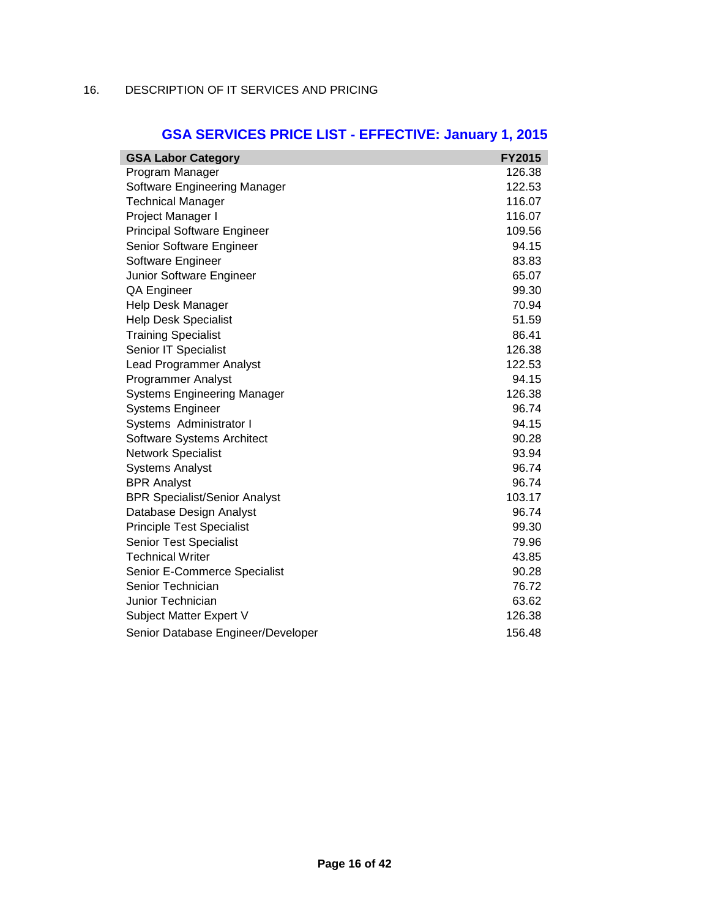### 16. DESCRIPTION OF IT SERVICES AND PRICING

| <b>GSA Labor Category</b>            | <b>FY2015</b> |
|--------------------------------------|---------------|
| Program Manager                      | 126.38        |
| Software Engineering Manager         | 122.53        |
| <b>Technical Manager</b>             | 116.07        |
| Project Manager I                    | 116.07        |
| <b>Principal Software Engineer</b>   | 109.56        |
| Senior Software Engineer             | 94.15         |
| Software Engineer                    | 83.83         |
| Junior Software Engineer             | 65.07         |
| QA Engineer                          | 99.30         |
| Help Desk Manager                    | 70.94         |
| <b>Help Desk Specialist</b>          | 51.59         |
| <b>Training Specialist</b>           | 86.41         |
| Senior IT Specialist                 | 126.38        |
| <b>Lead Programmer Analyst</b>       | 122.53        |
| <b>Programmer Analyst</b>            | 94.15         |
| <b>Systems Engineering Manager</b>   | 126.38        |
| <b>Systems Engineer</b>              | 96.74         |
| Systems Administrator I              | 94.15         |
| Software Systems Architect           | 90.28         |
| <b>Network Specialist</b>            | 93.94         |
| <b>Systems Analyst</b>               | 96.74         |
| <b>BPR Analyst</b>                   | 96.74         |
| <b>BPR Specialist/Senior Analyst</b> | 103.17        |
| Database Design Analyst              | 96.74         |
| <b>Principle Test Specialist</b>     | 99.30         |
| <b>Senior Test Specialist</b>        | 79.96         |
| <b>Technical Writer</b>              | 43.85         |
| Senior E-Commerce Specialist         | 90.28         |
| Senior Technician                    | 76.72         |
| Junior Technician                    | 63.62         |
| Subject Matter Expert V              | 126.38        |
| Senior Database Engineer/Developer   | 156.48        |

# **GSA SERVICES PRICE LIST - EFFECTIVE: January 1, 2015**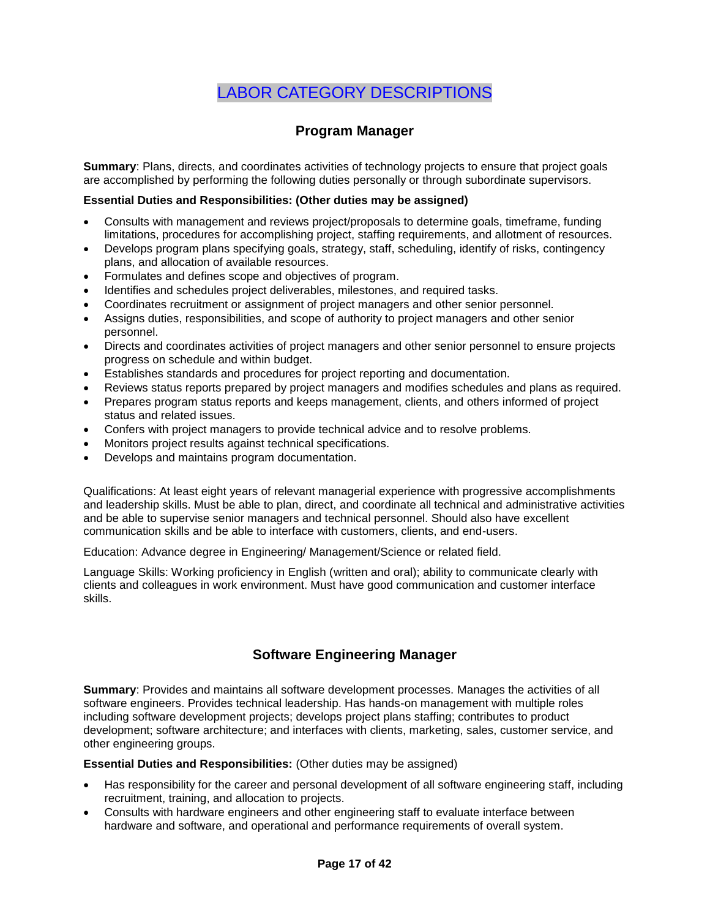# LABOR CATEGORY DESCRIPTIONS

### **Program Manager**

**Summary**: Plans, directs, and coordinates activities of technology projects to ensure that project goals are accomplished by performing the following duties personally or through subordinate supervisors.

### **Essential Duties and Responsibilities: (Other duties may be assigned)**

- Consults with management and reviews project/proposals to determine goals, timeframe, funding limitations, procedures for accomplishing project, staffing requirements, and allotment of resources.
- Develops program plans specifying goals, strategy, staff, scheduling, identify of risks, contingency plans, and allocation of available resources.
- Formulates and defines scope and objectives of program.
- Identifies and schedules project deliverables, milestones, and required tasks.
- Coordinates recruitment or assignment of project managers and other senior personnel.
- Assigns duties, responsibilities, and scope of authority to project managers and other senior personnel.
- Directs and coordinates activities of project managers and other senior personnel to ensure projects progress on schedule and within budget.
- Establishes standards and procedures for project reporting and documentation.
- Reviews status reports prepared by project managers and modifies schedules and plans as required.
- Prepares program status reports and keeps management, clients, and others informed of project status and related issues.
- Confers with project managers to provide technical advice and to resolve problems.
- Monitors project results against technical specifications.
- Develops and maintains program documentation.

Qualifications: At least eight years of relevant managerial experience with progressive accomplishments and leadership skills. Must be able to plan, direct, and coordinate all technical and administrative activities and be able to supervise senior managers and technical personnel. Should also have excellent communication skills and be able to interface with customers, clients, and end-users.

Education: Advance degree in Engineering/ Management/Science or related field.

Language Skills: Working proficiency in English (written and oral); ability to communicate clearly with clients and colleagues in work environment. Must have good communication and customer interface skills.

### **Software Engineering Manager**

**Summary**: Provides and maintains all software development processes. Manages the activities of all software engineers. Provides technical leadership. Has hands-on management with multiple roles including software development projects; develops project plans staffing; contributes to product development; software architecture; and interfaces with clients, marketing, sales, customer service, and other engineering groups.

#### **Essential Duties and Responsibilities:** (Other duties may be assigned)

- Has responsibility for the career and personal development of all software engineering staff, including recruitment, training, and allocation to projects.
- Consults with hardware engineers and other engineering staff to evaluate interface between hardware and software, and operational and performance requirements of overall system.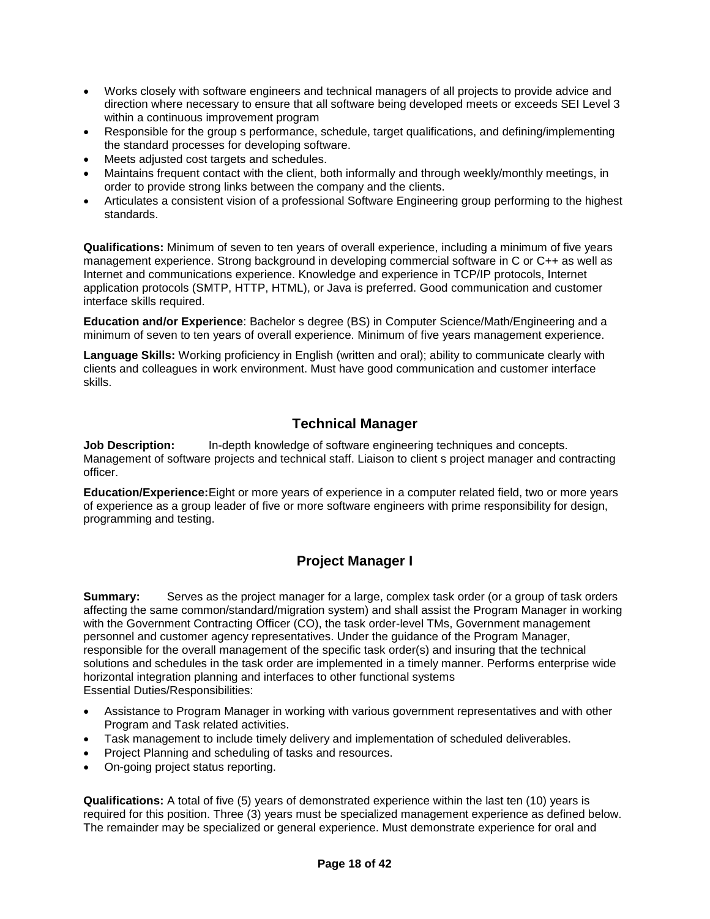- Works closely with software engineers and technical managers of all projects to provide advice and direction where necessary to ensure that all software being developed meets or exceeds SEI Level 3 within a continuous improvement program
- Responsible for the group s performance, schedule, target qualifications, and defining/implementing the standard processes for developing software.
- Meets adjusted cost targets and schedules.
- Maintains frequent contact with the client, both informally and through weekly/monthly meetings, in order to provide strong links between the company and the clients.
- Articulates a consistent vision of a professional Software Engineering group performing to the highest standards.

**Qualifications:** Minimum of seven to ten years of overall experience, including a minimum of five years management experience. Strong background in developing commercial software in C or C++ as well as Internet and communications experience. Knowledge and experience in TCP/IP protocols, Internet application protocols (SMTP, HTTP, HTML), or Java is preferred. Good communication and customer interface skills required.

**Education and/or Experience**: Bachelor s degree (BS) in Computer Science/Math/Engineering and a minimum of seven to ten years of overall experience. Minimum of five years management experience.

**Language Skills:** Working proficiency in English (written and oral); ability to communicate clearly with clients and colleagues in work environment. Must have good communication and customer interface skills.

### **Technical Manager**

**Job Description:** In-depth knowledge of software engineering techniques and concepts. Management of software projects and technical staff. Liaison to client s project manager and contracting officer.

**Education/Experience:**Eight or more years of experience in a computer related field, two or more years of experience as a group leader of five or more software engineers with prime responsibility for design, programming and testing.

### **Project Manager I**

**Summary:** Serves as the project manager for a large, complex task order (or a group of task orders affecting the same common/standard/migration system) and shall assist the Program Manager in working with the Government Contracting Officer (CO), the task order-level TMs, Government management personnel and customer agency representatives. Under the guidance of the Program Manager, responsible for the overall management of the specific task order(s) and insuring that the technical solutions and schedules in the task order are implemented in a timely manner. Performs enterprise wide horizontal integration planning and interfaces to other functional systems Essential Duties/Responsibilities:

- Assistance to Program Manager in working with various government representatives and with other Program and Task related activities.
- Task management to include timely delivery and implementation of scheduled deliverables.
- Project Planning and scheduling of tasks and resources.
- On-going project status reporting.

**Qualifications:** A total of five (5) years of demonstrated experience within the last ten (10) years is required for this position. Three (3) years must be specialized management experience as defined below. The remainder may be specialized or general experience. Must demonstrate experience for oral and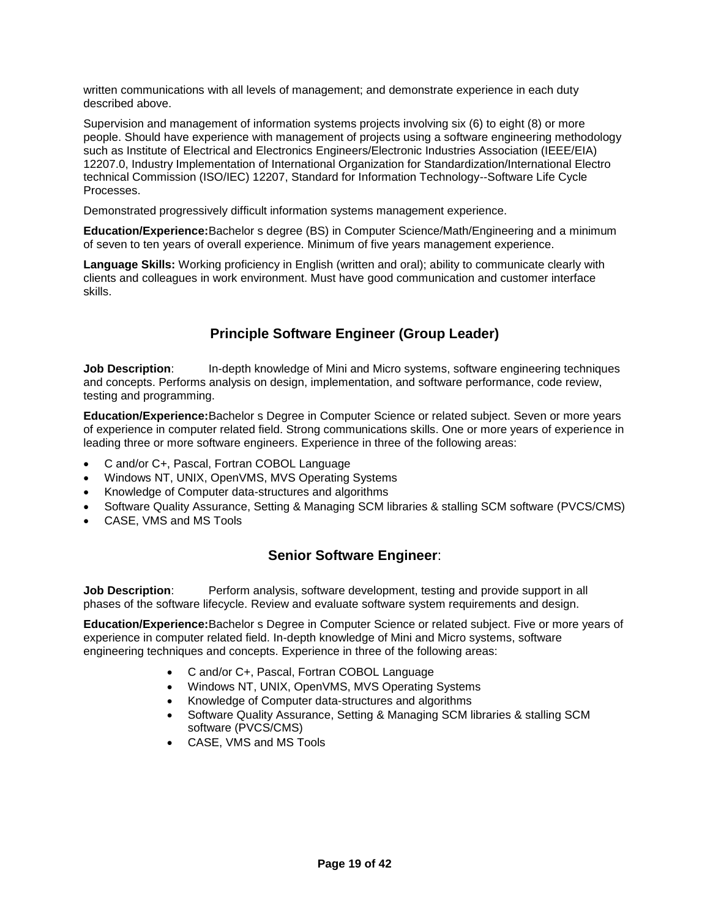written communications with all levels of management; and demonstrate experience in each duty described above.

Supervision and management of information systems projects involving six (6) to eight (8) or more people. Should have experience with management of projects using a software engineering methodology such as Institute of Electrical and Electronics Engineers/Electronic Industries Association (IEEE/EIA) 12207.0, Industry Implementation of International Organization for Standardization/International Electro technical Commission (ISO/IEC) 12207, Standard for Information Technology--Software Life Cycle Processes.

Demonstrated progressively difficult information systems management experience.

**Education/Experience:**Bachelor s degree (BS) in Computer Science/Math/Engineering and a minimum of seven to ten years of overall experience. Minimum of five years management experience.

**Language Skills:** Working proficiency in English (written and oral); ability to communicate clearly with clients and colleagues in work environment. Must have good communication and customer interface skills.

### **Principle Software Engineer (Group Leader)**

**Job Description:** In-depth knowledge of Mini and Micro systems, software engineering techniques and concepts. Performs analysis on design, implementation, and software performance, code review, testing and programming.

**Education/Experience:**Bachelor s Degree in Computer Science or related subject. Seven or more years of experience in computer related field. Strong communications skills. One or more years of experience in leading three or more software engineers. Experience in three of the following areas:

- C and/or C+, Pascal, Fortran COBOL Language
- Windows NT, UNIX, OpenVMS, MVS Operating Systems
- Knowledge of Computer data-structures and algorithms
- Software Quality Assurance, Setting & Managing SCM libraries & stalling SCM software (PVCS/CMS)
- CASE, VMS and MS Tools

### **Senior Software Engineer**:

**Job Description:** Perform analysis, software development, testing and provide support in all phases of the software lifecycle. Review and evaluate software system requirements and design.

**Education/Experience:**Bachelor s Degree in Computer Science or related subject. Five or more years of experience in computer related field. In-depth knowledge of Mini and Micro systems, software engineering techniques and concepts. Experience in three of the following areas:

- C and/or C+, Pascal, Fortran COBOL Language
- Windows NT, UNIX, OpenVMS, MVS Operating Systems
- Knowledge of Computer data-structures and algorithms
- Software Quality Assurance, Setting & Managing SCM libraries & stalling SCM software (PVCS/CMS)
- CASE, VMS and MS Tools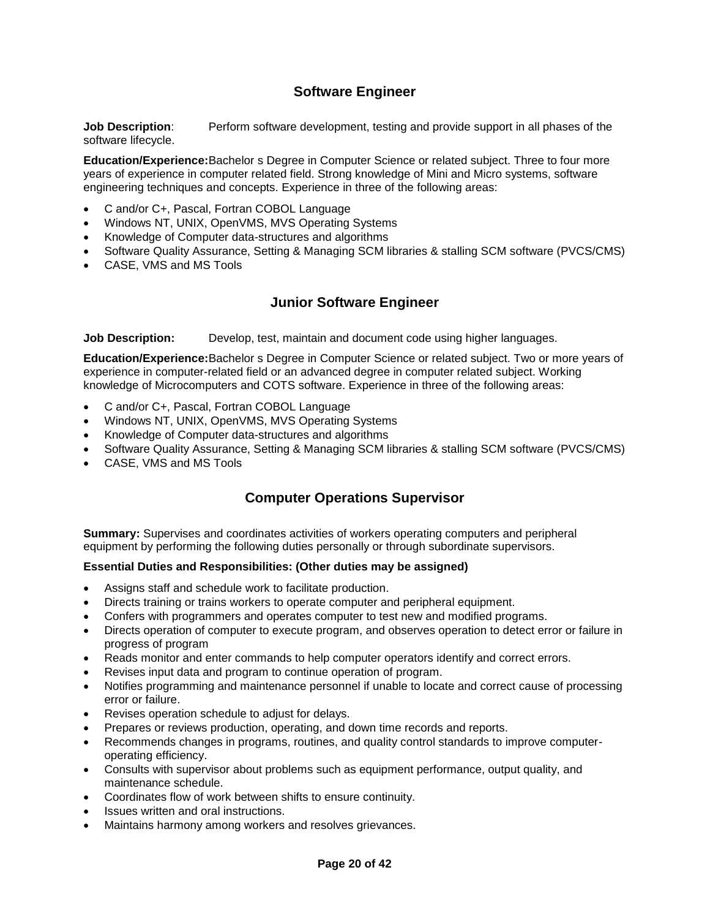### **Software Engineer**

**Job Description**: Perform software development, testing and provide support in all phases of the software lifecycle.

**Education/Experience:**Bachelor s Degree in Computer Science or related subject. Three to four more years of experience in computer related field. Strong knowledge of Mini and Micro systems, software engineering techniques and concepts. Experience in three of the following areas:

- C and/or C+, Pascal, Fortran COBOL Language
- Windows NT, UNIX, OpenVMS, MVS Operating Systems
- Knowledge of Computer data-structures and algorithms
- Software Quality Assurance, Setting & Managing SCM libraries & stalling SCM software (PVCS/CMS)
- CASE, VMS and MS Tools

### **Junior Software Engineer**

**Job Description:** Develop, test, maintain and document code using higher languages.

**Education/Experience:**Bachelor s Degree in Computer Science or related subject. Two or more years of experience in computer-related field or an advanced degree in computer related subject. Working knowledge of Microcomputers and COTS software. Experience in three of the following areas:

- C and/or C+, Pascal, Fortran COBOL Language
- Windows NT, UNIX, OpenVMS, MVS Operating Systems
- Knowledge of Computer data-structures and algorithms
- Software Quality Assurance, Setting & Managing SCM libraries & stalling SCM software (PVCS/CMS)
- CASE, VMS and MS Tools

### **Computer Operations Supervisor**

**Summary:** Supervises and coordinates activities of workers operating computers and peripheral equipment by performing the following duties personally or through subordinate supervisors.

#### **Essential Duties and Responsibilities: (Other duties may be assigned)**

- Assigns staff and schedule work to facilitate production.
- Directs training or trains workers to operate computer and peripheral equipment.
- Confers with programmers and operates computer to test new and modified programs.
- Directs operation of computer to execute program, and observes operation to detect error or failure in progress of program
- Reads monitor and enter commands to help computer operators identify and correct errors.
- Revises input data and program to continue operation of program.
- Notifies programming and maintenance personnel if unable to locate and correct cause of processing error or failure.
- Revises operation schedule to adjust for delays.
- Prepares or reviews production, operating, and down time records and reports.
- Recommends changes in programs, routines, and quality control standards to improve computeroperating efficiency.
- Consults with supervisor about problems such as equipment performance, output quality, and maintenance schedule.
- Coordinates flow of work between shifts to ensure continuity.
- Issues written and oral instructions.
- Maintains harmony among workers and resolves grievances.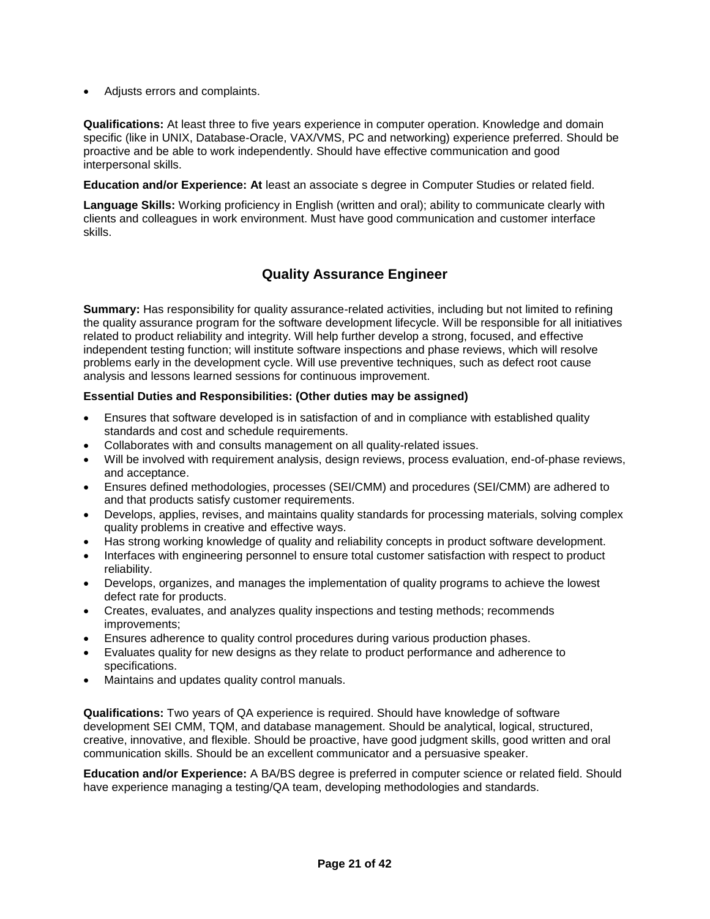Adjusts errors and complaints.

**Qualifications:** At least three to five years experience in computer operation. Knowledge and domain specific (like in UNIX, Database-Oracle, VAX/VMS, PC and networking) experience preferred. Should be proactive and be able to work independently. Should have effective communication and good interpersonal skills.

**Education and/or Experience: At** least an associate s degree in Computer Studies or related field.

**Language Skills:** Working proficiency in English (written and oral); ability to communicate clearly with clients and colleagues in work environment. Must have good communication and customer interface skills.

### **Quality Assurance Engineer**

**Summary:** Has responsibility for quality assurance-related activities, including but not limited to refining the quality assurance program for the software development lifecycle. Will be responsible for all initiatives related to product reliability and integrity. Will help further develop a strong, focused, and effective independent testing function; will institute software inspections and phase reviews, which will resolve problems early in the development cycle. Will use preventive techniques, such as defect root cause analysis and lessons learned sessions for continuous improvement.

### **Essential Duties and Responsibilities: (Other duties may be assigned)**

- Ensures that software developed is in satisfaction of and in compliance with established quality standards and cost and schedule requirements.
- Collaborates with and consults management on all quality-related issues.
- Will be involved with requirement analysis, design reviews, process evaluation, end-of-phase reviews, and acceptance.
- Ensures defined methodologies, processes (SEI/CMM) and procedures (SEI/CMM) are adhered to and that products satisfy customer requirements.
- Develops, applies, revises, and maintains quality standards for processing materials, solving complex quality problems in creative and effective ways.
- Has strong working knowledge of quality and reliability concepts in product software development.
- Interfaces with engineering personnel to ensure total customer satisfaction with respect to product reliability.
- Develops, organizes, and manages the implementation of quality programs to achieve the lowest defect rate for products.
- Creates, evaluates, and analyzes quality inspections and testing methods; recommends improvements;
- Ensures adherence to quality control procedures during various production phases.
- Evaluates quality for new designs as they relate to product performance and adherence to specifications.
- Maintains and updates quality control manuals.

**Qualifications:** Two years of QA experience is required. Should have knowledge of software development SEI CMM, TQM, and database management. Should be analytical, logical, structured, creative, innovative, and flexible. Should be proactive, have good judgment skills, good written and oral communication skills. Should be an excellent communicator and a persuasive speaker.

**Education and/or Experience:** A BA/BS degree is preferred in computer science or related field. Should have experience managing a testing/QA team, developing methodologies and standards.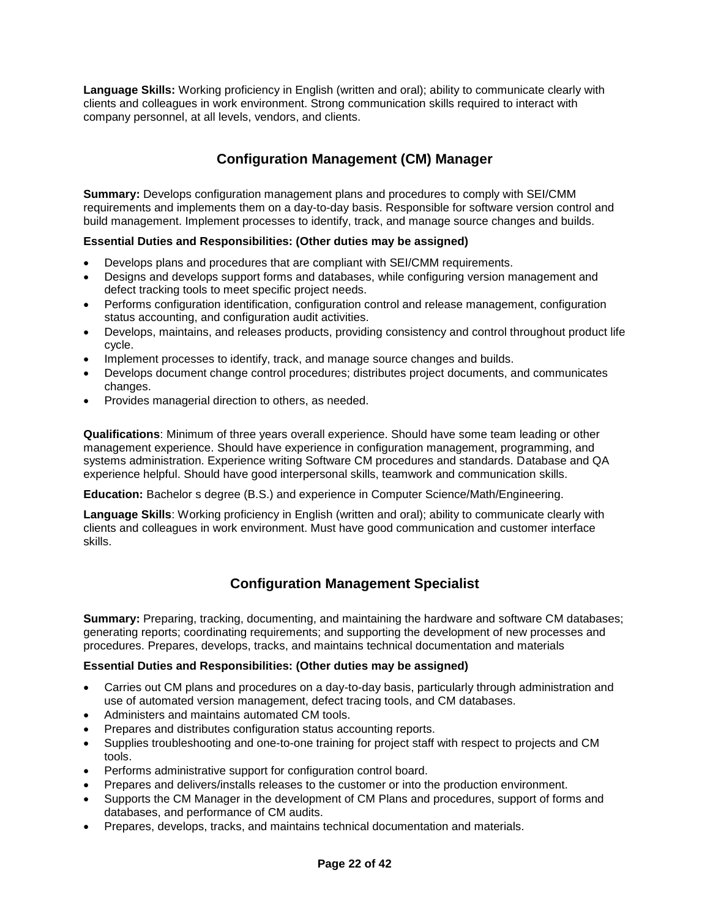**Language Skills:** Working proficiency in English (written and oral); ability to communicate clearly with clients and colleagues in work environment. Strong communication skills required to interact with company personnel, at all levels, vendors, and clients.

### **Configuration Management (CM) Manager**

**Summary:** Develops configuration management plans and procedures to comply with SEI/CMM requirements and implements them on a day-to-day basis. Responsible for software version control and build management. Implement processes to identify, track, and manage source changes and builds.

### **Essential Duties and Responsibilities: (Other duties may be assigned)**

- Develops plans and procedures that are compliant with SEI/CMM requirements.
- Designs and develops support forms and databases, while configuring version management and defect tracking tools to meet specific project needs.
- Performs configuration identification, configuration control and release management, configuration status accounting, and configuration audit activities.
- Develops, maintains, and releases products, providing consistency and control throughout product life cycle.
- Implement processes to identify, track, and manage source changes and builds.
- Develops document change control procedures; distributes project documents, and communicates changes.
- Provides managerial direction to others, as needed.

**Qualifications**: Minimum of three years overall experience. Should have some team leading or other management experience. Should have experience in configuration management, programming, and systems administration. Experience writing Software CM procedures and standards. Database and QA experience helpful. Should have good interpersonal skills, teamwork and communication skills.

**Education:** Bachelor s degree (B.S.) and experience in Computer Science/Math/Engineering.

**Language Skills**: Working proficiency in English (written and oral); ability to communicate clearly with clients and colleagues in work environment. Must have good communication and customer interface skills.

### **Configuration Management Specialist**

**Summary:** Preparing, tracking, documenting, and maintaining the hardware and software CM databases; generating reports; coordinating requirements; and supporting the development of new processes and procedures. Prepares, develops, tracks, and maintains technical documentation and materials

### **Essential Duties and Responsibilities: (Other duties may be assigned)**

- Carries out CM plans and procedures on a day-to-day basis, particularly through administration and use of automated version management, defect tracing tools, and CM databases.
- Administers and maintains automated CM tools.
- Prepares and distributes configuration status accounting reports.
- Supplies troubleshooting and one-to-one training for project staff with respect to projects and CM tools.
- Performs administrative support for configuration control board.
- Prepares and delivers/installs releases to the customer or into the production environment.
- Supports the CM Manager in the development of CM Plans and procedures, support of forms and databases, and performance of CM audits.
- Prepares, develops, tracks, and maintains technical documentation and materials.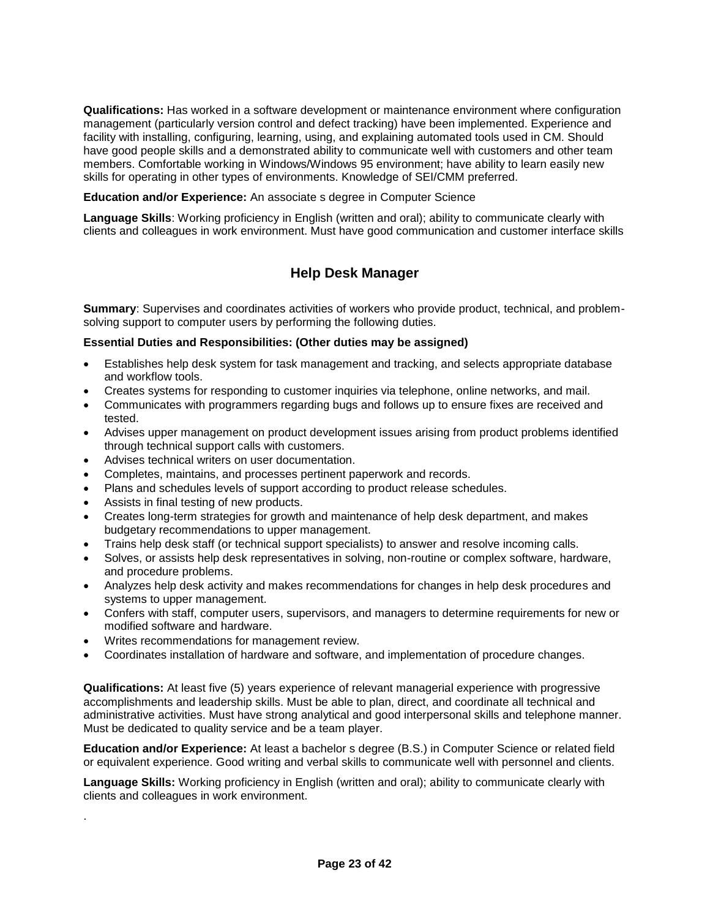**Qualifications:** Has worked in a software development or maintenance environment where configuration management (particularly version control and defect tracking) have been implemented. Experience and facility with installing, configuring, learning, using, and explaining automated tools used in CM. Should have good people skills and a demonstrated ability to communicate well with customers and other team members. Comfortable working in Windows/Windows 95 environment; have ability to learn easily new skills for operating in other types of environments. Knowledge of SEI/CMM preferred.

**Education and/or Experience:** An associate s degree in Computer Science

**Language Skills**: Working proficiency in English (written and oral); ability to communicate clearly with clients and colleagues in work environment. Must have good communication and customer interface skills

### **Help Desk Manager**

**Summary**: Supervises and coordinates activities of workers who provide product, technical, and problemsolving support to computer users by performing the following duties.

### **Essential Duties and Responsibilities: (Other duties may be assigned)**

- Establishes help desk system for task management and tracking, and selects appropriate database and workflow tools.
- Creates systems for responding to customer inquiries via telephone, online networks, and mail.
- Communicates with programmers regarding bugs and follows up to ensure fixes are received and tested.
- Advises upper management on product development issues arising from product problems identified through technical support calls with customers.
- Advises technical writers on user documentation.
- Completes, maintains, and processes pertinent paperwork and records.
- Plans and schedules levels of support according to product release schedules.
- Assists in final testing of new products.

.

- Creates long-term strategies for growth and maintenance of help desk department, and makes budgetary recommendations to upper management.
- Trains help desk staff (or technical support specialists) to answer and resolve incoming calls.
- Solves, or assists help desk representatives in solving, non-routine or complex software, hardware, and procedure problems.
- Analyzes help desk activity and makes recommendations for changes in help desk procedures and systems to upper management.
- Confers with staff, computer users, supervisors, and managers to determine requirements for new or modified software and hardware.
- Writes recommendations for management review.
- Coordinates installation of hardware and software, and implementation of procedure changes.

**Qualifications:** At least five (5) years experience of relevant managerial experience with progressive accomplishments and leadership skills. Must be able to plan, direct, and coordinate all technical and administrative activities. Must have strong analytical and good interpersonal skills and telephone manner. Must be dedicated to quality service and be a team player.

**Education and/or Experience:** At least a bachelor s degree (B.S.) in Computer Science or related field or equivalent experience. Good writing and verbal skills to communicate well with personnel and clients.

**Language Skills:** Working proficiency in English (written and oral); ability to communicate clearly with clients and colleagues in work environment.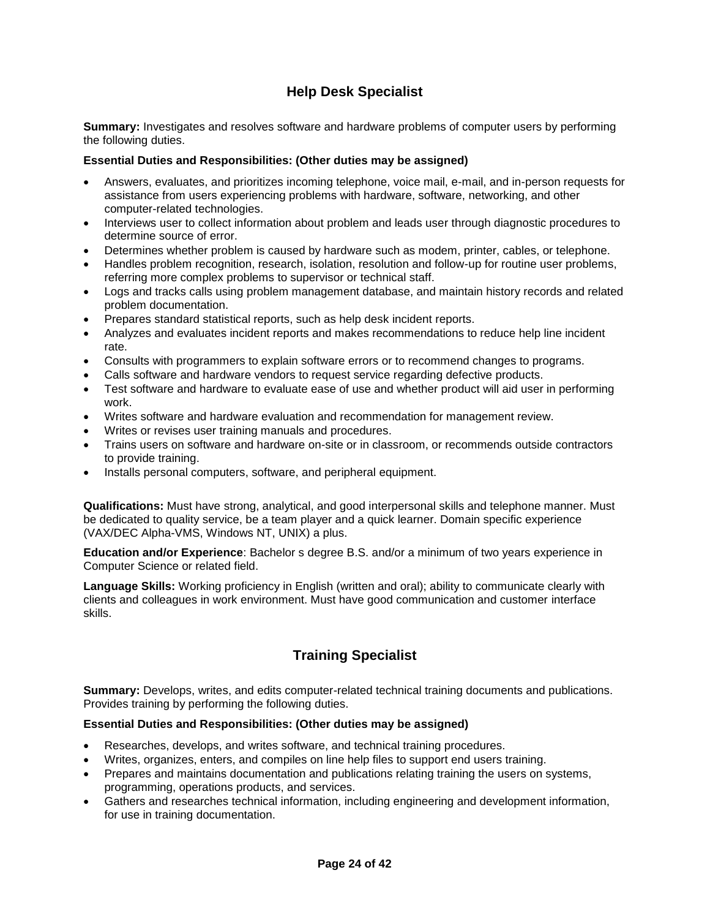### **Help Desk Specialist**

**Summary:** Investigates and resolves software and hardware problems of computer users by performing the following duties.

### **Essential Duties and Responsibilities: (Other duties may be assigned)**

- Answers, evaluates, and prioritizes incoming telephone, voice mail, e-mail, and in-person requests for assistance from users experiencing problems with hardware, software, networking, and other computer-related technologies.
- Interviews user to collect information about problem and leads user through diagnostic procedures to determine source of error.
- Determines whether problem is caused by hardware such as modem, printer, cables, or telephone.
- Handles problem recognition, research, isolation, resolution and follow-up for routine user problems, referring more complex problems to supervisor or technical staff.
- Logs and tracks calls using problem management database, and maintain history records and related problem documentation.
- Prepares standard statistical reports, such as help desk incident reports.
- Analyzes and evaluates incident reports and makes recommendations to reduce help line incident rate.
- Consults with programmers to explain software errors or to recommend changes to programs.
- Calls software and hardware vendors to request service regarding defective products.
- Test software and hardware to evaluate ease of use and whether product will aid user in performing work.
- Writes software and hardware evaluation and recommendation for management review.
- Writes or revises user training manuals and procedures.
- Trains users on software and hardware on-site or in classroom, or recommends outside contractors to provide training.
- Installs personal computers, software, and peripheral equipment.

**Qualifications:** Must have strong, analytical, and good interpersonal skills and telephone manner. Must be dedicated to quality service, be a team player and a quick learner. Domain specific experience (VAX/DEC Alpha-VMS, Windows NT, UNIX) a plus.

**Education and/or Experience**: Bachelor s degree B.S. and/or a minimum of two years experience in Computer Science or related field.

**Language Skills:** Working proficiency in English (written and oral); ability to communicate clearly with clients and colleagues in work environment. Must have good communication and customer interface skills.

### **Training Specialist**

**Summary:** Develops, writes, and edits computer-related technical training documents and publications. Provides training by performing the following duties.

### **Essential Duties and Responsibilities: (Other duties may be assigned)**

- Researches, develops, and writes software, and technical training procedures.
- Writes, organizes, enters, and compiles on line help files to support end users training.
- Prepares and maintains documentation and publications relating training the users on systems, programming, operations products, and services.
- Gathers and researches technical information, including engineering and development information, for use in training documentation.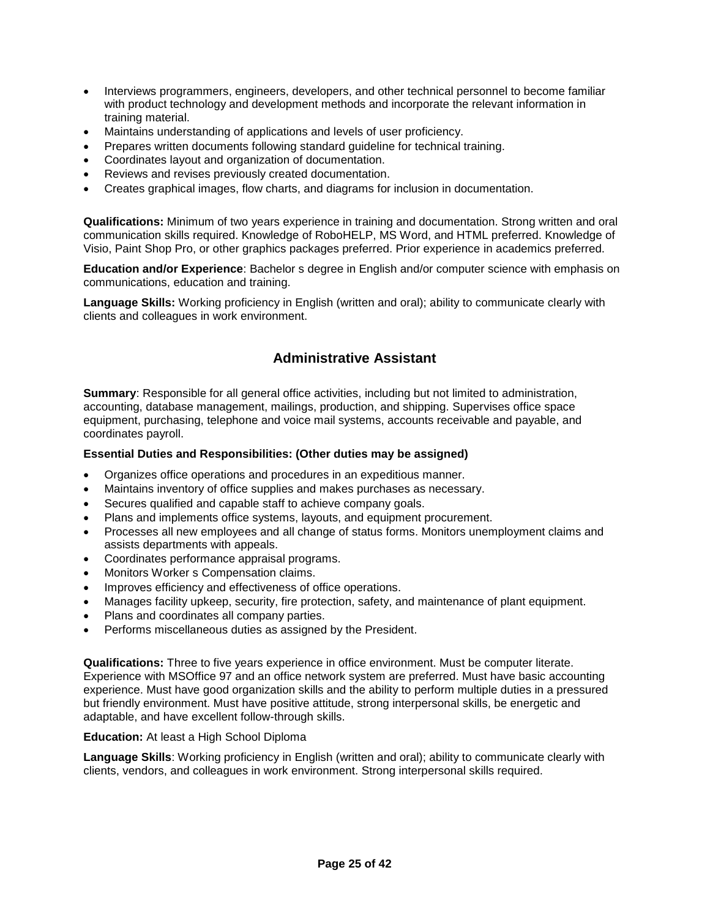- Interviews programmers, engineers, developers, and other technical personnel to become familiar with product technology and development methods and incorporate the relevant information in training material.
- Maintains understanding of applications and levels of user proficiency.
- Prepares written documents following standard guideline for technical training.
- Coordinates layout and organization of documentation.
- Reviews and revises previously created documentation.
- Creates graphical images, flow charts, and diagrams for inclusion in documentation.

**Qualifications:** Minimum of two years experience in training and documentation. Strong written and oral communication skills required. Knowledge of RoboHELP, MS Word, and HTML preferred. Knowledge of Visio, Paint Shop Pro, or other graphics packages preferred. Prior experience in academics preferred.

**Education and/or Experience**: Bachelor s degree in English and/or computer science with emphasis on communications, education and training.

**Language Skills:** Working proficiency in English (written and oral); ability to communicate clearly with clients and colleagues in work environment.

### **Administrative Assistant**

**Summary**: Responsible for all general office activities, including but not limited to administration, accounting, database management, mailings, production, and shipping. Supervises office space equipment, purchasing, telephone and voice mail systems, accounts receivable and payable, and coordinates payroll.

### **Essential Duties and Responsibilities: (Other duties may be assigned)**

- Organizes office operations and procedures in an expeditious manner.
- Maintains inventory of office supplies and makes purchases as necessary.
- Secures qualified and capable staff to achieve company goals.
- Plans and implements office systems, layouts, and equipment procurement.
- Processes all new employees and all change of status forms. Monitors unemployment claims and assists departments with appeals.
- Coordinates performance appraisal programs.
- Monitors Worker s Compensation claims.
- Improves efficiency and effectiveness of office operations.
- Manages facility upkeep, security, fire protection, safety, and maintenance of plant equipment.
- Plans and coordinates all company parties.
- Performs miscellaneous duties as assigned by the President.

**Qualifications:** Three to five years experience in office environment. Must be computer literate. Experience with MSOffice 97 and an office network system are preferred. Must have basic accounting experience. Must have good organization skills and the ability to perform multiple duties in a pressured but friendly environment. Must have positive attitude, strong interpersonal skills, be energetic and adaptable, and have excellent follow-through skills.

### **Education:** At least a High School Diploma

**Language Skills**: Working proficiency in English (written and oral); ability to communicate clearly with clients, vendors, and colleagues in work environment. Strong interpersonal skills required.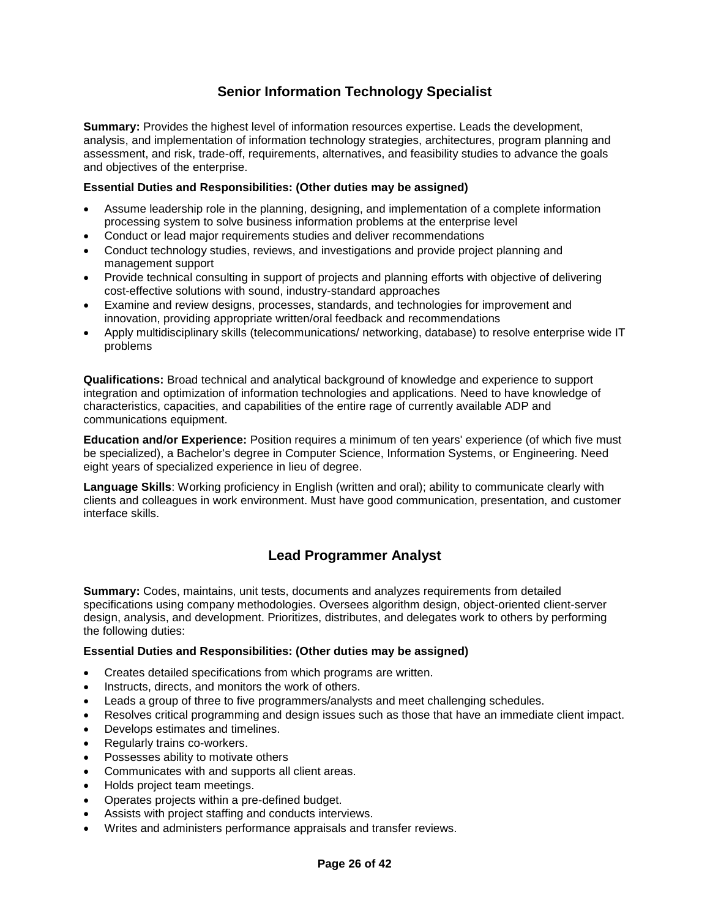### **Senior Information Technology Specialist**

**Summary:** Provides the highest level of information resources expertise. Leads the development, analysis, and implementation of information technology strategies, architectures, program planning and assessment, and risk, trade-off, requirements, alternatives, and feasibility studies to advance the goals and objectives of the enterprise.

### **Essential Duties and Responsibilities: (Other duties may be assigned)**

- Assume leadership role in the planning, designing, and implementation of a complete information processing system to solve business information problems at the enterprise level
- Conduct or lead major requirements studies and deliver recommendations
- Conduct technology studies, reviews, and investigations and provide project planning and management support
- Provide technical consulting in support of projects and planning efforts with objective of delivering cost-effective solutions with sound, industry-standard approaches
- Examine and review designs, processes, standards, and technologies for improvement and innovation, providing appropriate written/oral feedback and recommendations
- Apply multidisciplinary skills (telecommunications/ networking, database) to resolve enterprise wide IT problems

**Qualifications:** Broad technical and analytical background of knowledge and experience to support integration and optimization of information technologies and applications. Need to have knowledge of characteristics, capacities, and capabilities of the entire rage of currently available ADP and communications equipment.

**Education and/or Experience:** Position requires a minimum of ten years' experience (of which five must be specialized), a Bachelor's degree in Computer Science, Information Systems, or Engineering. Need eight years of specialized experience in lieu of degree.

**Language Skills**: Working proficiency in English (written and oral); ability to communicate clearly with clients and colleagues in work environment. Must have good communication, presentation, and customer interface skills.

### **Lead Programmer Analyst**

**Summary:** Codes, maintains, unit tests, documents and analyzes requirements from detailed specifications using company methodologies. Oversees algorithm design, object-oriented client-server design, analysis, and development. Prioritizes, distributes, and delegates work to others by performing the following duties:

#### **Essential Duties and Responsibilities: (Other duties may be assigned)**

- Creates detailed specifications from which programs are written.
- Instructs, directs, and monitors the work of others.
- Leads a group of three to five programmers/analysts and meet challenging schedules.
- Resolves critical programming and design issues such as those that have an immediate client impact.
- Develops estimates and timelines.
- Regularly trains co-workers.
- Possesses ability to motivate others
- Communicates with and supports all client areas.
- Holds project team meetings.
- Operates projects within a pre-defined budget.
- Assists with project staffing and conducts interviews.
- Writes and administers performance appraisals and transfer reviews.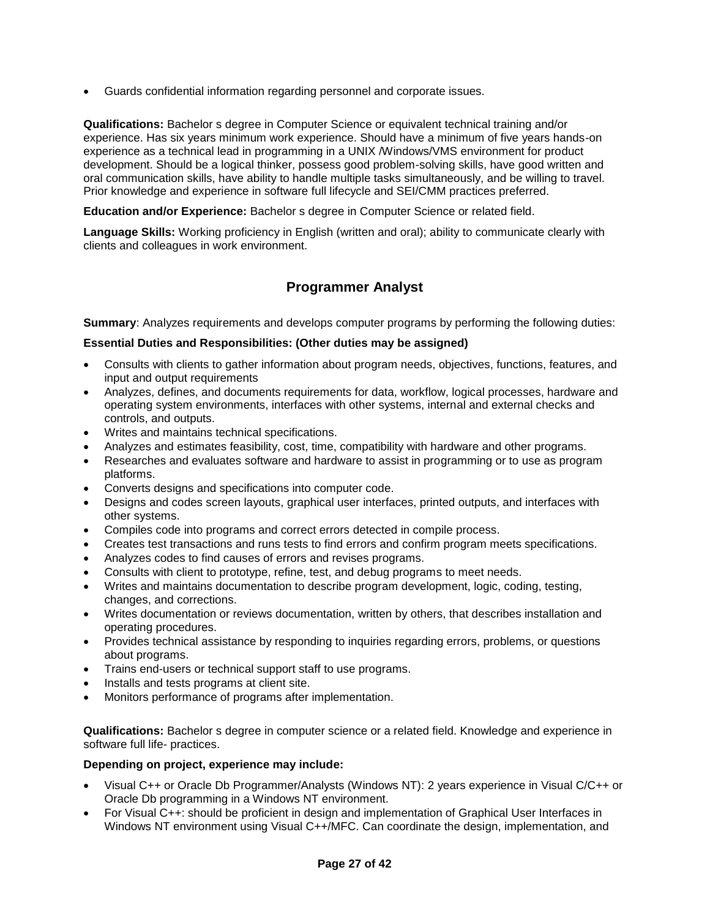Guards confidential information regarding personnel and corporate issues.

**Qualifications:** Bachelor s degree in Computer Science or equivalent technical training and/or experience. Has six years minimum work experience. Should have a minimum of five years hands-on experience as a technical lead in programming in a UNIX /Windows/VMS environment for product development. Should be a logical thinker, possess good problem-solving skills, have good written and oral communication skills, have ability to handle multiple tasks simultaneously, and be willing to travel. Prior knowledge and experience in software full lifecycle and SEI/CMM practices preferred.

**Education and/or Experience:** Bachelor s degree in Computer Science or related field.

**Language Skills:** Working proficiency in English (written and oral); ability to communicate clearly with clients and colleagues in work environment.

### **Programmer Analyst**

**Summary**: Analyzes requirements and develops computer programs by performing the following duties:

### **Essential Duties and Responsibilities: (Other duties may be assigned)**

- Consults with clients to gather information about program needs, objectives, functions, features, and input and output requirements
- Analyzes, defines, and documents requirements for data, workflow, logical processes, hardware and operating system environments, interfaces with other systems, internal and external checks and controls, and outputs.
- Writes and maintains technical specifications.
- Analyzes and estimates feasibility, cost, time, compatibility with hardware and other programs.
- Researches and evaluates software and hardware to assist in programming or to use as program platforms.
- Converts designs and specifications into computer code.
- Designs and codes screen layouts, graphical user interfaces, printed outputs, and interfaces with other systems.
- Compiles code into programs and correct errors detected in compile process.
- Creates test transactions and runs tests to find errors and confirm program meets specifications.
- Analyzes codes to find causes of errors and revises programs.
- Consults with client to prototype, refine, test, and debug programs to meet needs.
- Writes and maintains documentation to describe program development, logic, coding, testing, changes, and corrections.
- Writes documentation or reviews documentation, written by others, that describes installation and operating procedures.
- Provides technical assistance by responding to inquiries regarding errors, problems, or questions about programs.
- Trains end-users or technical support staff to use programs.
- Installs and tests programs at client site.
- Monitors performance of programs after implementation.

**Qualifications:** Bachelor s degree in computer science or a related field. Knowledge and experience in software full life- practices.

#### **Depending on project, experience may include:**

- Visual C++ or Oracle Db Programmer/Analysts (Windows NT): 2 years experience in Visual C/C++ or Oracle Db programming in a Windows NT environment.
- For Visual C++: should be proficient in design and implementation of Graphical User Interfaces in Windows NT environment using Visual C++/MFC. Can coordinate the design, implementation, and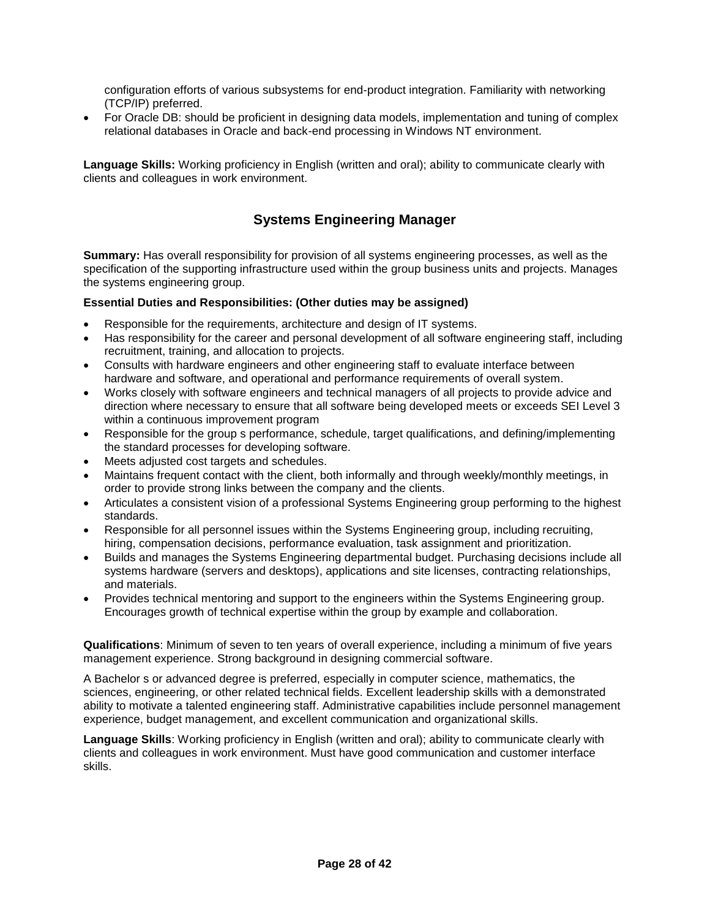configuration efforts of various subsystems for end-product integration. Familiarity with networking (TCP/IP) preferred.

 For Oracle DB: should be proficient in designing data models, implementation and tuning of complex relational databases in Oracle and back-end processing in Windows NT environment.

**Language Skills:** Working proficiency in English (written and oral); ability to communicate clearly with clients and colleagues in work environment.

### **Systems Engineering Manager**

**Summary:** Has overall responsibility for provision of all systems engineering processes, as well as the specification of the supporting infrastructure used within the group business units and projects. Manages the systems engineering group.

### **Essential Duties and Responsibilities: (Other duties may be assigned)**

- Responsible for the requirements, architecture and design of IT systems.
- Has responsibility for the career and personal development of all software engineering staff, including recruitment, training, and allocation to projects.
- Consults with hardware engineers and other engineering staff to evaluate interface between hardware and software, and operational and performance requirements of overall system.
- Works closely with software engineers and technical managers of all projects to provide advice and direction where necessary to ensure that all software being developed meets or exceeds SEI Level 3 within a continuous improvement program
- Responsible for the group s performance, schedule, target qualifications, and defining/implementing the standard processes for developing software.
- Meets adjusted cost targets and schedules.
- Maintains frequent contact with the client, both informally and through weekly/monthly meetings, in order to provide strong links between the company and the clients.
- Articulates a consistent vision of a professional Systems Engineering group performing to the highest standards.
- Responsible for all personnel issues within the Systems Engineering group, including recruiting, hiring, compensation decisions, performance evaluation, task assignment and prioritization.
- Builds and manages the Systems Engineering departmental budget. Purchasing decisions include all systems hardware (servers and desktops), applications and site licenses, contracting relationships, and materials.
- Provides technical mentoring and support to the engineers within the Systems Engineering group. Encourages growth of technical expertise within the group by example and collaboration.

**Qualifications**: Minimum of seven to ten years of overall experience, including a minimum of five years management experience. Strong background in designing commercial software.

A Bachelor s or advanced degree is preferred, especially in computer science, mathematics, the sciences, engineering, or other related technical fields. Excellent leadership skills with a demonstrated ability to motivate a talented engineering staff. Administrative capabilities include personnel management experience, budget management, and excellent communication and organizational skills.

**Language Skills**: Working proficiency in English (written and oral); ability to communicate clearly with clients and colleagues in work environment. Must have good communication and customer interface skills.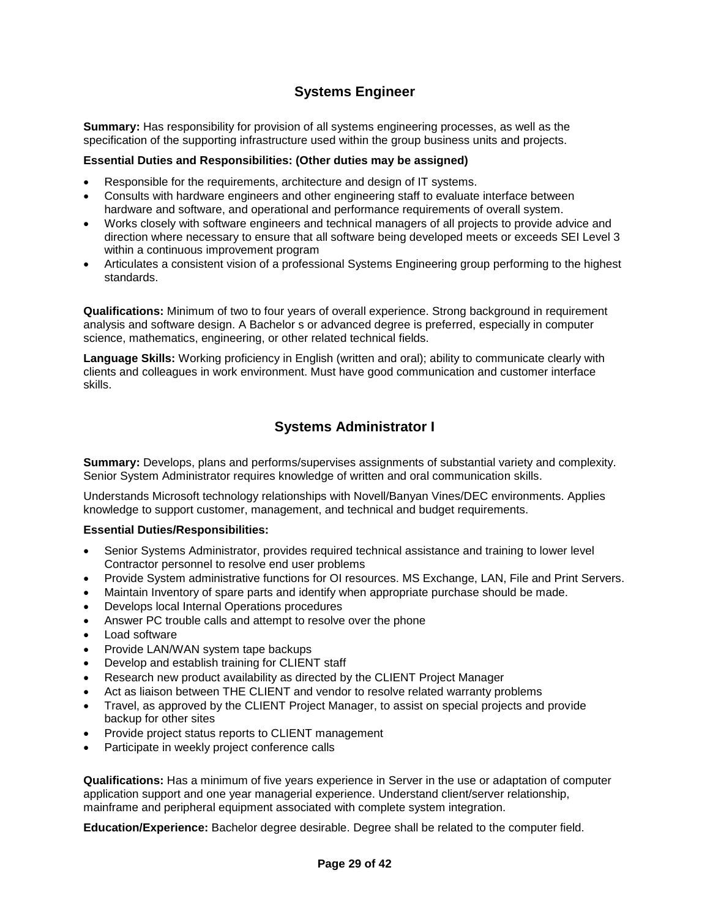### **Systems Engineer**

**Summary:** Has responsibility for provision of all systems engineering processes, as well as the specification of the supporting infrastructure used within the group business units and projects.

#### **Essential Duties and Responsibilities: (Other duties may be assigned)**

- Responsible for the requirements, architecture and design of IT systems.
- Consults with hardware engineers and other engineering staff to evaluate interface between hardware and software, and operational and performance requirements of overall system.
- Works closely with software engineers and technical managers of all projects to provide advice and direction where necessary to ensure that all software being developed meets or exceeds SEI Level 3 within a continuous improvement program
- Articulates a consistent vision of a professional Systems Engineering group performing to the highest standards.

**Qualifications:** Minimum of two to four years of overall experience. Strong background in requirement analysis and software design. A Bachelor s or advanced degree is preferred, especially in computer science, mathematics, engineering, or other related technical fields.

**Language Skills:** Working proficiency in English (written and oral); ability to communicate clearly with clients and colleagues in work environment. Must have good communication and customer interface skills.

### **Systems Administrator I**

**Summary:** Develops, plans and performs/supervises assignments of substantial variety and complexity. Senior System Administrator requires knowledge of written and oral communication skills.

Understands Microsoft technology relationships with Novell/Banyan Vines/DEC environments. Applies knowledge to support customer, management, and technical and budget requirements.

#### **Essential Duties/Responsibilities:**

- Senior Systems Administrator, provides required technical assistance and training to lower level Contractor personnel to resolve end user problems
- Provide System administrative functions for OI resources. MS Exchange, LAN, File and Print Servers.
- Maintain Inventory of spare parts and identify when appropriate purchase should be made.
- Develops local Internal Operations procedures
- Answer PC trouble calls and attempt to resolve over the phone
- Load software
- Provide LAN/WAN system tape backups
- Develop and establish training for CLIENT staff
- Research new product availability as directed by the CLIENT Project Manager
- Act as liaison between THE CLIENT and vendor to resolve related warranty problems
- Travel, as approved by the CLIENT Project Manager, to assist on special projects and provide backup for other sites
- Provide project status reports to CLIENT management
- Participate in weekly project conference calls

**Qualifications:** Has a minimum of five years experience in Server in the use or adaptation of computer application support and one year managerial experience. Understand client/server relationship, mainframe and peripheral equipment associated with complete system integration.

**Education/Experience:** Bachelor degree desirable. Degree shall be related to the computer field.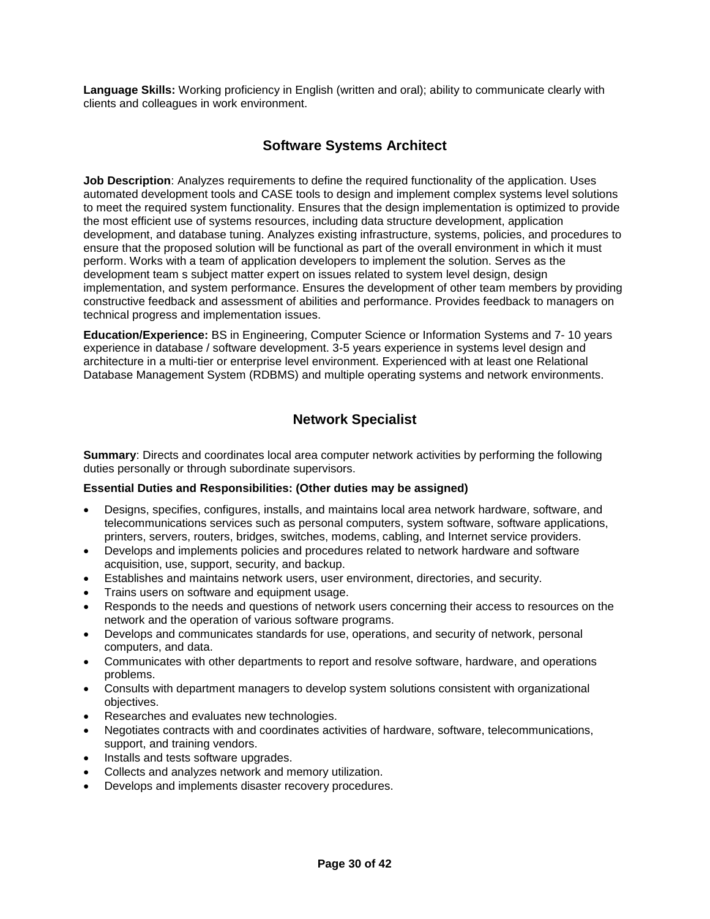**Language Skills:** Working proficiency in English (written and oral); ability to communicate clearly with clients and colleagues in work environment.

### **Software Systems Architect**

**Job Description**: Analyzes requirements to define the required functionality of the application. Uses automated development tools and CASE tools to design and implement complex systems level solutions to meet the required system functionality. Ensures that the design implementation is optimized to provide the most efficient use of systems resources, including data structure development, application development, and database tuning. Analyzes existing infrastructure, systems, policies, and procedures to ensure that the proposed solution will be functional as part of the overall environment in which it must perform. Works with a team of application developers to implement the solution. Serves as the development team s subject matter expert on issues related to system level design, design implementation, and system performance. Ensures the development of other team members by providing constructive feedback and assessment of abilities and performance. Provides feedback to managers on technical progress and implementation issues.

**Education/Experience:** BS in Engineering, Computer Science or Information Systems and 7- 10 years experience in database / software development. 3-5 years experience in systems level design and architecture in a multi-tier or enterprise level environment. Experienced with at least one Relational Database Management System (RDBMS) and multiple operating systems and network environments.

### **Network Specialist**

**Summary**: Directs and coordinates local area computer network activities by performing the following duties personally or through subordinate supervisors.

### **Essential Duties and Responsibilities: (Other duties may be assigned)**

- Designs, specifies, configures, installs, and maintains local area network hardware, software, and telecommunications services such as personal computers, system software, software applications, printers, servers, routers, bridges, switches, modems, cabling, and Internet service providers.
- Develops and implements policies and procedures related to network hardware and software acquisition, use, support, security, and backup.
- Establishes and maintains network users, user environment, directories, and security.
- Trains users on software and equipment usage.
- Responds to the needs and questions of network users concerning their access to resources on the network and the operation of various software programs.
- Develops and communicates standards for use, operations, and security of network, personal computers, and data.
- Communicates with other departments to report and resolve software, hardware, and operations problems.
- Consults with department managers to develop system solutions consistent with organizational objectives.
- Researches and evaluates new technologies.
- Negotiates contracts with and coordinates activities of hardware, software, telecommunications, support, and training vendors.
- Installs and tests software upgrades.
- Collects and analyzes network and memory utilization.
- Develops and implements disaster recovery procedures.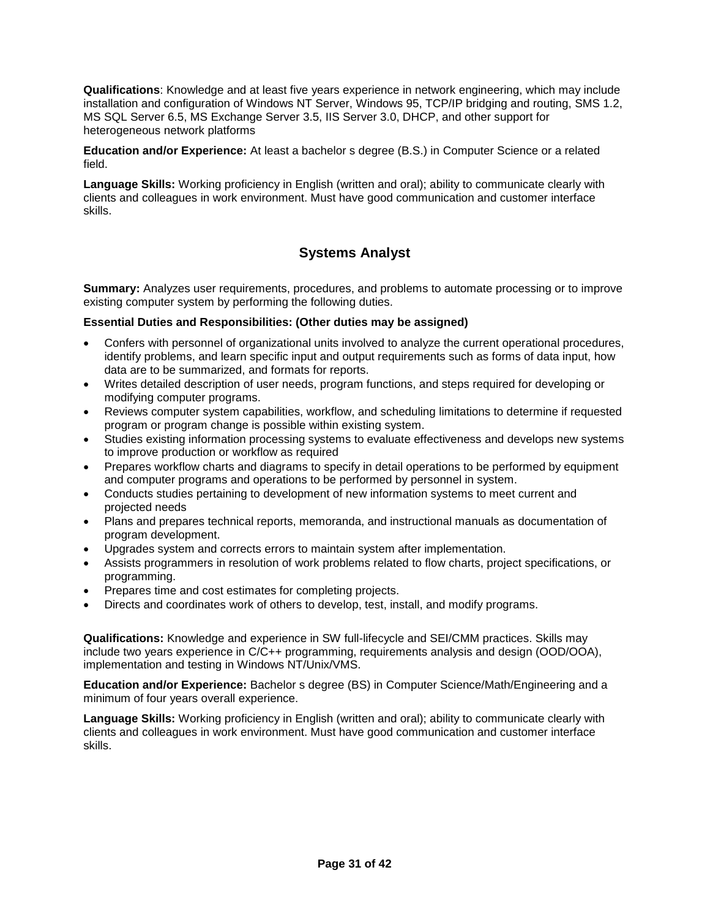**Qualifications**: Knowledge and at least five years experience in network engineering, which may include installation and configuration of Windows NT Server, Windows 95, TCP/IP bridging and routing, SMS 1.2, MS SQL Server 6.5, MS Exchange Server 3.5, IIS Server 3.0, DHCP, and other support for heterogeneous network platforms

**Education and/or Experience:** At least a bachelor s degree (B.S.) in Computer Science or a related field.

**Language Skills:** Working proficiency in English (written and oral); ability to communicate clearly with clients and colleagues in work environment. Must have good communication and customer interface skills.

### **Systems Analyst**

**Summary:** Analyzes user requirements, procedures, and problems to automate processing or to improve existing computer system by performing the following duties.

### **Essential Duties and Responsibilities: (Other duties may be assigned)**

- Confers with personnel of organizational units involved to analyze the current operational procedures, identify problems, and learn specific input and output requirements such as forms of data input, how data are to be summarized, and formats for reports.
- Writes detailed description of user needs, program functions, and steps required for developing or modifying computer programs.
- Reviews computer system capabilities, workflow, and scheduling limitations to determine if requested program or program change is possible within existing system.
- Studies existing information processing systems to evaluate effectiveness and develops new systems to improve production or workflow as required
- Prepares workflow charts and diagrams to specify in detail operations to be performed by equipment and computer programs and operations to be performed by personnel in system.
- Conducts studies pertaining to development of new information systems to meet current and projected needs
- Plans and prepares technical reports, memoranda, and instructional manuals as documentation of program development.
- Upgrades system and corrects errors to maintain system after implementation.
- Assists programmers in resolution of work problems related to flow charts, project specifications, or programming.
- Prepares time and cost estimates for completing projects.
- Directs and coordinates work of others to develop, test, install, and modify programs.

**Qualifications:** Knowledge and experience in SW full-lifecycle and SEI/CMM practices. Skills may include two years experience in C/C++ programming, requirements analysis and design (OOD/OOA), implementation and testing in Windows NT/Unix/VMS.

**Education and/or Experience:** Bachelor s degree (BS) in Computer Science/Math/Engineering and a minimum of four years overall experience.

**Language Skills:** Working proficiency in English (written and oral); ability to communicate clearly with clients and colleagues in work environment. Must have good communication and customer interface skills.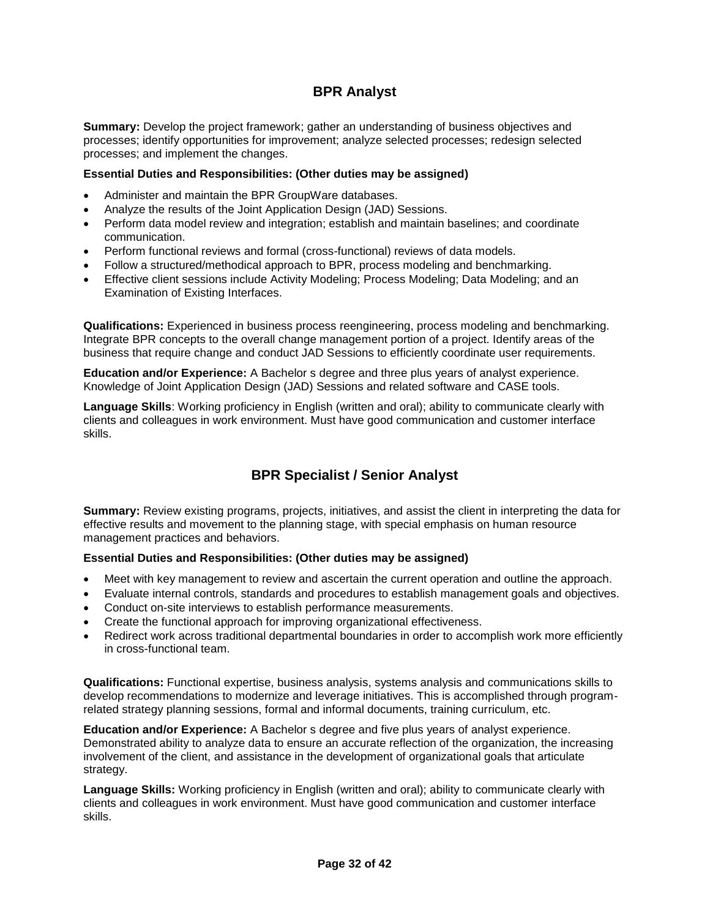### **BPR Analyst**

**Summary:** Develop the project framework; gather an understanding of business objectives and processes; identify opportunities for improvement; analyze selected processes; redesign selected processes; and implement the changes.

### **Essential Duties and Responsibilities: (Other duties may be assigned)**

- Administer and maintain the BPR GroupWare databases.
- Analyze the results of the Joint Application Design (JAD) Sessions.
- Perform data model review and integration; establish and maintain baselines; and coordinate communication.
- Perform functional reviews and formal (cross-functional) reviews of data models.
- Follow a structured/methodical approach to BPR, process modeling and benchmarking.
- Effective client sessions include Activity Modeling; Process Modeling; Data Modeling; and an Examination of Existing Interfaces.

**Qualifications:** Experienced in business process reengineering, process modeling and benchmarking. Integrate BPR concepts to the overall change management portion of a project. Identify areas of the business that require change and conduct JAD Sessions to efficiently coordinate user requirements.

**Education and/or Experience:** A Bachelor s degree and three plus years of analyst experience. Knowledge of Joint Application Design (JAD) Sessions and related software and CASE tools.

**Language Skills**: Working proficiency in English (written and oral); ability to communicate clearly with clients and colleagues in work environment. Must have good communication and customer interface skills.

### **BPR Specialist / Senior Analyst**

**Summary:** Review existing programs, projects, initiatives, and assist the client in interpreting the data for effective results and movement to the planning stage, with special emphasis on human resource management practices and behaviors.

#### **Essential Duties and Responsibilities: (Other duties may be assigned)**

- Meet with key management to review and ascertain the current operation and outline the approach.
- Evaluate internal controls, standards and procedures to establish management goals and objectives.
- Conduct on-site interviews to establish performance measurements.
- Create the functional approach for improving organizational effectiveness.
- Redirect work across traditional departmental boundaries in order to accomplish work more efficiently in cross-functional team.

**Qualifications:** Functional expertise, business analysis, systems analysis and communications skills to develop recommendations to modernize and leverage initiatives. This is accomplished through programrelated strategy planning sessions, formal and informal documents, training curriculum, etc.

**Education and/or Experience:** A Bachelor s degree and five plus years of analyst experience. Demonstrated ability to analyze data to ensure an accurate reflection of the organization, the increasing involvement of the client, and assistance in the development of organizational goals that articulate strategy.

**Language Skills:** Working proficiency in English (written and oral); ability to communicate clearly with clients and colleagues in work environment. Must have good communication and customer interface skills.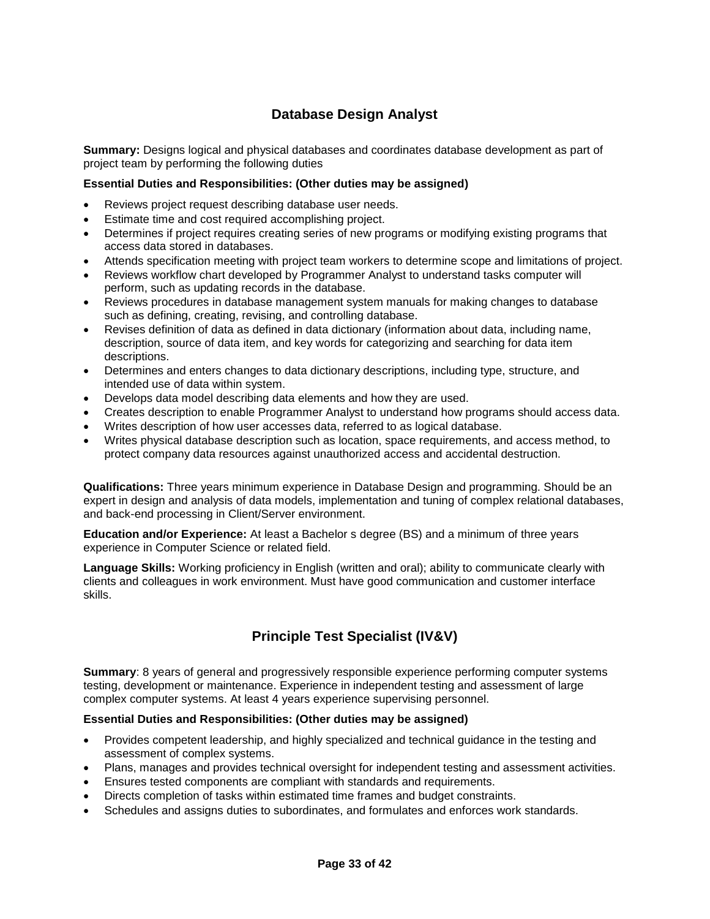### **Database Design Analyst**

**Summary:** Designs logical and physical databases and coordinates database development as part of project team by performing the following duties

### **Essential Duties and Responsibilities: (Other duties may be assigned)**

- Reviews project request describing database user needs.
- Estimate time and cost required accomplishing project.
- Determines if project requires creating series of new programs or modifying existing programs that access data stored in databases.
- Attends specification meeting with project team workers to determine scope and limitations of project.
- Reviews workflow chart developed by Programmer Analyst to understand tasks computer will perform, such as updating records in the database.
- Reviews procedures in database management system manuals for making changes to database such as defining, creating, revising, and controlling database.
- Revises definition of data as defined in data dictionary (information about data, including name, description, source of data item, and key words for categorizing and searching for data item descriptions.
- Determines and enters changes to data dictionary descriptions, including type, structure, and intended use of data within system.
- Develops data model describing data elements and how they are used.
- Creates description to enable Programmer Analyst to understand how programs should access data.
- Writes description of how user accesses data, referred to as logical database.
- Writes physical database description such as location, space requirements, and access method, to protect company data resources against unauthorized access and accidental destruction.

**Qualifications:** Three years minimum experience in Database Design and programming. Should be an expert in design and analysis of data models, implementation and tuning of complex relational databases, and back-end processing in Client/Server environment.

**Education and/or Experience:** At least a Bachelor s degree (BS) and a minimum of three years experience in Computer Science or related field.

**Language Skills:** Working proficiency in English (written and oral); ability to communicate clearly with clients and colleagues in work environment. Must have good communication and customer interface skills.

### **Principle Test Specialist (IV&V)**

**Summary**: 8 years of general and progressively responsible experience performing computer systems testing, development or maintenance. Experience in independent testing and assessment of large complex computer systems. At least 4 years experience supervising personnel.

#### **Essential Duties and Responsibilities: (Other duties may be assigned)**

- Provides competent leadership, and highly specialized and technical guidance in the testing and assessment of complex systems.
- Plans, manages and provides technical oversight for independent testing and assessment activities.
- Ensures tested components are compliant with standards and requirements.
- Directs completion of tasks within estimated time frames and budget constraints.
- Schedules and assigns duties to subordinates, and formulates and enforces work standards.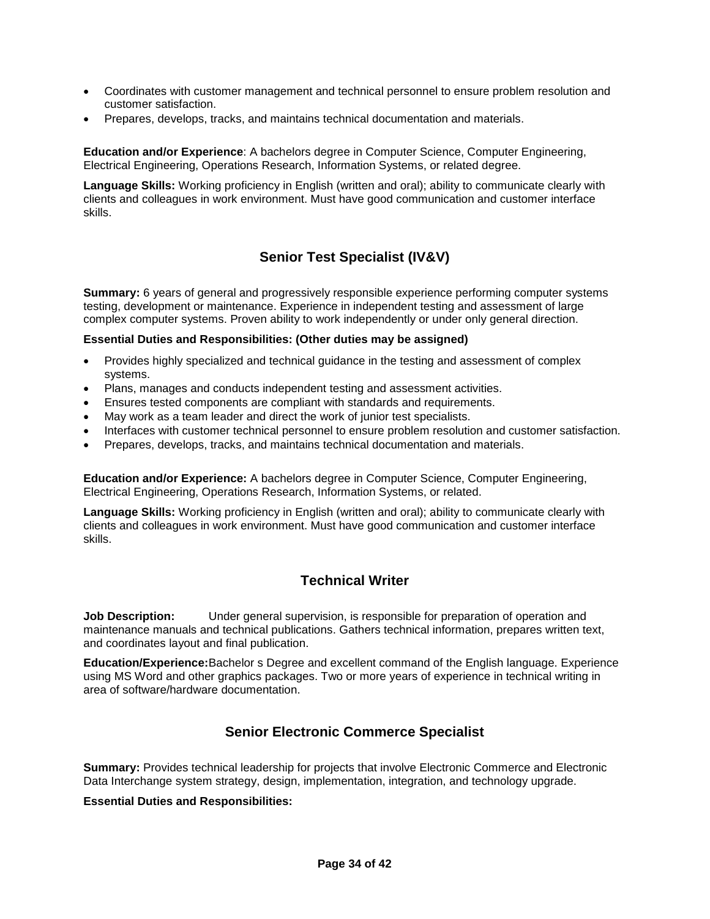- Coordinates with customer management and technical personnel to ensure problem resolution and customer satisfaction.
- Prepares, develops, tracks, and maintains technical documentation and materials.

**Education and/or Experience**: A bachelors degree in Computer Science, Computer Engineering, Electrical Engineering, Operations Research, Information Systems, or related degree.

**Language Skills:** Working proficiency in English (written and oral); ability to communicate clearly with clients and colleagues in work environment. Must have good communication and customer interface skills.

### **Senior Test Specialist (IV&V)**

**Summary:** 6 years of general and progressively responsible experience performing computer systems testing, development or maintenance. Experience in independent testing and assessment of large complex computer systems. Proven ability to work independently or under only general direction.

### **Essential Duties and Responsibilities: (Other duties may be assigned)**

- Provides highly specialized and technical guidance in the testing and assessment of complex systems.
- Plans, manages and conducts independent testing and assessment activities.
- Ensures tested components are compliant with standards and requirements.
- May work as a team leader and direct the work of junior test specialists.
- Interfaces with customer technical personnel to ensure problem resolution and customer satisfaction.
- Prepares, develops, tracks, and maintains technical documentation and materials.

**Education and/or Experience:** A bachelors degree in Computer Science, Computer Engineering, Electrical Engineering, Operations Research, Information Systems, or related.

**Language Skills:** Working proficiency in English (written and oral); ability to communicate clearly with clients and colleagues in work environment. Must have good communication and customer interface skills.

### **Technical Writer**

**Job Description:** Under general supervision, is responsible for preparation of operation and maintenance manuals and technical publications. Gathers technical information, prepares written text, and coordinates layout and final publication.

**Education/Experience:** Bachelor s Degree and excellent command of the English language. Experience using MS Word and other graphics packages. Two or more years of experience in technical writing in area of software/hardware documentation.

### **Senior Electronic Commerce Specialist**

**Summary:** Provides technical leadership for projects that involve Electronic Commerce and Electronic Data Interchange system strategy, design, implementation, integration, and technology upgrade.

#### **Essential Duties and Responsibilities:**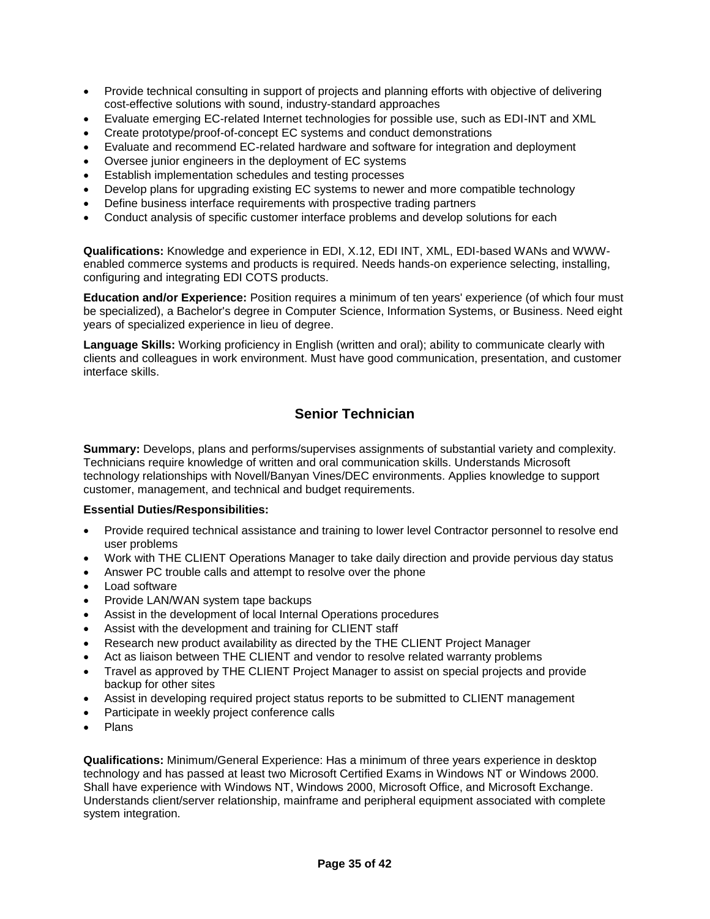- Provide technical consulting in support of projects and planning efforts with objective of delivering cost-effective solutions with sound, industry-standard approaches
- Evaluate emerging EC-related Internet technologies for possible use, such as EDI-INT and XML
- Create prototype/proof-of-concept EC systems and conduct demonstrations
- Evaluate and recommend EC-related hardware and software for integration and deployment
- Oversee junior engineers in the deployment of EC systems
- Establish implementation schedules and testing processes
- Develop plans for upgrading existing EC systems to newer and more compatible technology
- Define business interface requirements with prospective trading partners
- Conduct analysis of specific customer interface problems and develop solutions for each

**Qualifications:** Knowledge and experience in EDI, X.12, EDI INT, XML, EDI-based WANs and WWWenabled commerce systems and products is required. Needs hands-on experience selecting, installing, configuring and integrating EDI COTS products.

**Education and/or Experience:** Position requires a minimum of ten years' experience (of which four must be specialized), a Bachelor's degree in Computer Science, Information Systems, or Business. Need eight years of specialized experience in lieu of degree.

**Language Skills:** Working proficiency in English (written and oral); ability to communicate clearly with clients and colleagues in work environment. Must have good communication, presentation, and customer interface skills.

### **Senior Technician**

**Summary:** Develops, plans and performs/supervises assignments of substantial variety and complexity. Technicians require knowledge of written and oral communication skills. Understands Microsoft technology relationships with Novell/Banyan Vines/DEC environments. Applies knowledge to support customer, management, and technical and budget requirements.

#### **Essential Duties/Responsibilities:**

- Provide required technical assistance and training to lower level Contractor personnel to resolve end user problems
- Work with THE CLIENT Operations Manager to take daily direction and provide pervious day status
- Answer PC trouble calls and attempt to resolve over the phone
- Load software
- Provide LAN/WAN system tape backups
- Assist in the development of local Internal Operations procedures
- Assist with the development and training for CLIENT staff
- Research new product availability as directed by the THE CLIENT Project Manager
- Act as liaison between THE CLIENT and vendor to resolve related warranty problems
- Travel as approved by THE CLIENT Project Manager to assist on special projects and provide backup for other sites
- Assist in developing required project status reports to be submitted to CLIENT management
- Participate in weekly project conference calls
- Plans

**Qualifications:** Minimum/General Experience: Has a minimum of three years experience in desktop technology and has passed at least two Microsoft Certified Exams in Windows NT or Windows 2000. Shall have experience with Windows NT, Windows 2000, Microsoft Office, and Microsoft Exchange. Understands client/server relationship, mainframe and peripheral equipment associated with complete system integration.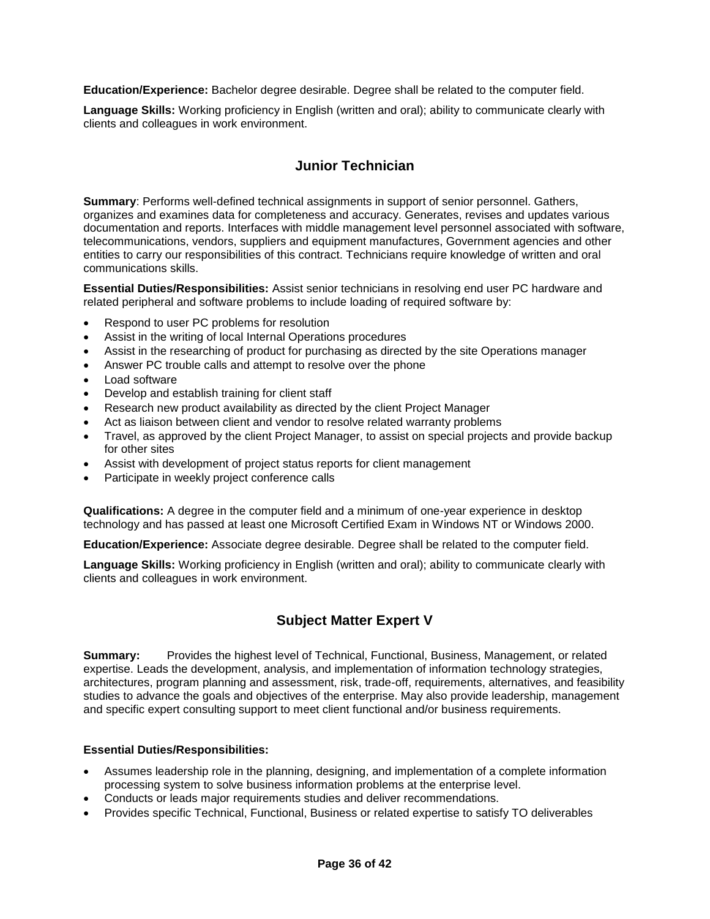**Education/Experience:** Bachelor degree desirable. Degree shall be related to the computer field.

**Language Skills:** Working proficiency in English (written and oral); ability to communicate clearly with clients and colleagues in work environment.

### **Junior Technician**

**Summary**: Performs well-defined technical assignments in support of senior personnel. Gathers, organizes and examines data for completeness and accuracy. Generates, revises and updates various documentation and reports. Interfaces with middle management level personnel associated with software, telecommunications, vendors, suppliers and equipment manufactures, Government agencies and other entities to carry our responsibilities of this contract. Technicians require knowledge of written and oral communications skills.

**Essential Duties/Responsibilities:** Assist senior technicians in resolving end user PC hardware and related peripheral and software problems to include loading of required software by:

- Respond to user PC problems for resolution
- Assist in the writing of local Internal Operations procedures
- Assist in the researching of product for purchasing as directed by the site Operations manager
- Answer PC trouble calls and attempt to resolve over the phone
- Load software
- Develop and establish training for client staff
- Research new product availability as directed by the client Project Manager
- Act as liaison between client and vendor to resolve related warranty problems
- Travel, as approved by the client Project Manager, to assist on special projects and provide backup for other sites
- Assist with development of project status reports for client management
- Participate in weekly project conference calls

**Qualifications:** A degree in the computer field and a minimum of one-year experience in desktop technology and has passed at least one Microsoft Certified Exam in Windows NT or Windows 2000.

**Education/Experience:** Associate degree desirable. Degree shall be related to the computer field.

**Language Skills:** Working proficiency in English (written and oral); ability to communicate clearly with clients and colleagues in work environment.

### **Subject Matter Expert V**

**Summary:** Provides the highest level of Technical, Functional, Business, Management, or related expertise. Leads the development, analysis, and implementation of information technology strategies, architectures, program planning and assessment, risk, trade-off, requirements, alternatives, and feasibility studies to advance the goals and objectives of the enterprise. May also provide leadership, management and specific expert consulting support to meet client functional and/or business requirements.

### **Essential Duties/Responsibilities:**

- Assumes leadership role in the planning, designing, and implementation of a complete information processing system to solve business information problems at the enterprise level.
- Conducts or leads major requirements studies and deliver recommendations.
- Provides specific Technical, Functional, Business or related expertise to satisfy TO deliverables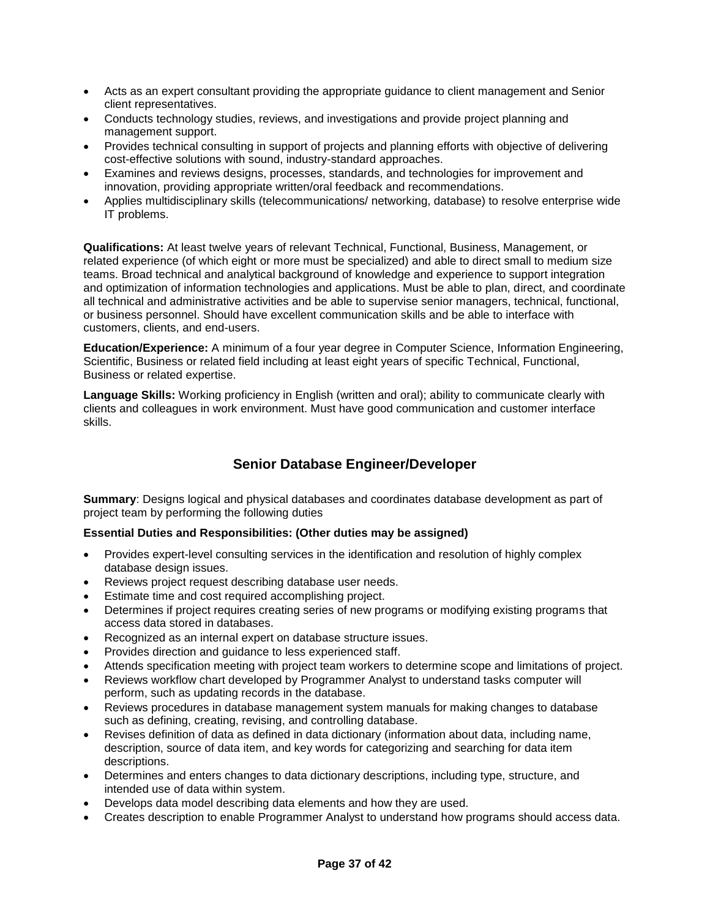- Acts as an expert consultant providing the appropriate guidance to client management and Senior client representatives.
- Conducts technology studies, reviews, and investigations and provide project planning and management support.
- Provides technical consulting in support of projects and planning efforts with objective of delivering cost-effective solutions with sound, industry-standard approaches.
- Examines and reviews designs, processes, standards, and technologies for improvement and innovation, providing appropriate written/oral feedback and recommendations.
- Applies multidisciplinary skills (telecommunications/ networking, database) to resolve enterprise wide IT problems.

**Qualifications:** At least twelve years of relevant Technical, Functional, Business, Management, or related experience (of which eight or more must be specialized) and able to direct small to medium size teams. Broad technical and analytical background of knowledge and experience to support integration and optimization of information technologies and applications. Must be able to plan, direct, and coordinate all technical and administrative activities and be able to supervise senior managers, technical, functional, or business personnel. Should have excellent communication skills and be able to interface with customers, clients, and end-users.

**Education/Experience:** A minimum of a four year degree in Computer Science, Information Engineering, Scientific, Business or related field including at least eight years of specific Technical, Functional, Business or related expertise.

**Language Skills:** Working proficiency in English (written and oral); ability to communicate clearly with clients and colleagues in work environment. Must have good communication and customer interface skills.

### **Senior Database Engineer/Developer**

**Summary**: Designs logical and physical databases and coordinates database development as part of project team by performing the following duties

### **Essential Duties and Responsibilities: (Other duties may be assigned)**

- Provides expert-level consulting services in the identification and resolution of highly complex database design issues.
- Reviews project request describing database user needs.
- Estimate time and cost required accomplishing project.
- Determines if project requires creating series of new programs or modifying existing programs that access data stored in databases.
- Recognized as an internal expert on database structure issues.
- Provides direction and guidance to less experienced staff.
- Attends specification meeting with project team workers to determine scope and limitations of project.
- Reviews workflow chart developed by Programmer Analyst to understand tasks computer will perform, such as updating records in the database.
- Reviews procedures in database management system manuals for making changes to database such as defining, creating, revising, and controlling database.
- Revises definition of data as defined in data dictionary (information about data, including name, description, source of data item, and key words for categorizing and searching for data item descriptions.
- Determines and enters changes to data dictionary descriptions, including type, structure, and intended use of data within system.
- Develops data model describing data elements and how they are used.
- Creates description to enable Programmer Analyst to understand how programs should access data.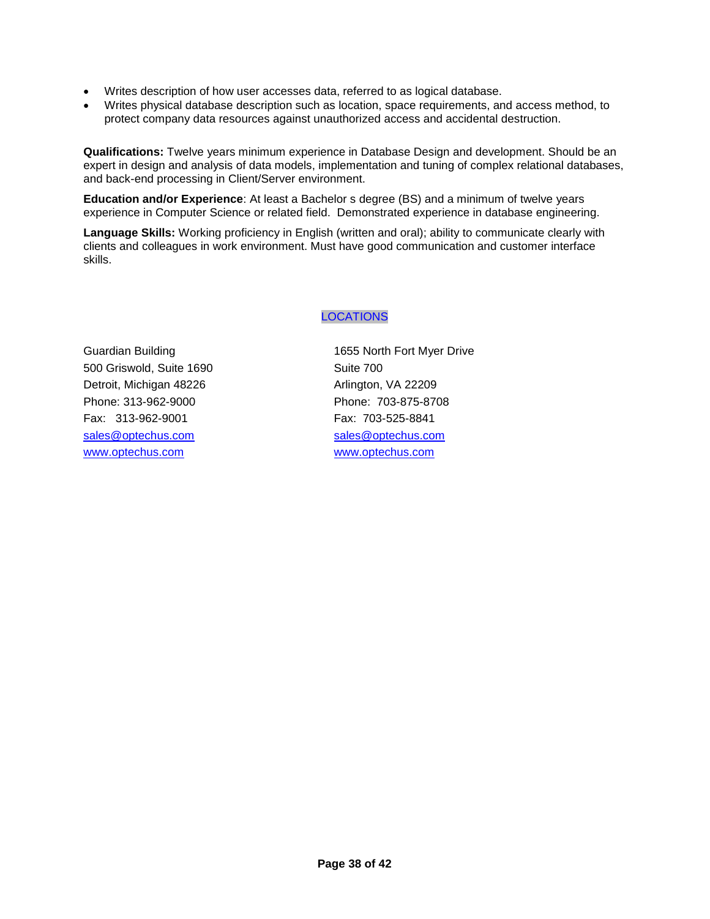- Writes description of how user accesses data, referred to as logical database.
- Writes physical database description such as location, space requirements, and access method, to protect company data resources against unauthorized access and accidental destruction.

**Qualifications:** Twelve years minimum experience in Database Design and development. Should be an expert in design and analysis of data models, implementation and tuning of complex relational databases, and back-end processing in Client/Server environment.

**Education and/or Experience**: At least a Bachelor s degree (BS) and a minimum of twelve years experience in Computer Science or related field. Demonstrated experience in database engineering.

**Language Skills:** Working proficiency in English (written and oral); ability to communicate clearly with clients and colleagues in work environment. Must have good communication and customer interface skills.

### LOCATIONS

500 Griswold, Suite 1690 Suite 700 Detroit, Michigan 48226 Arlington, VA 22209 Phone: 313-962-9000 Phone: 703-875-8708 Fax: 313-962-9001 Fax: 703-525-8841 [sales@optechus.com](mailto:sales@optechus.com) sales@optechus.com [www.optechus.com](http://www.optechus.com/) [www.optechus.com](http://www.optechus.com/)

Guardian Building 1655 North Fort Myer Drive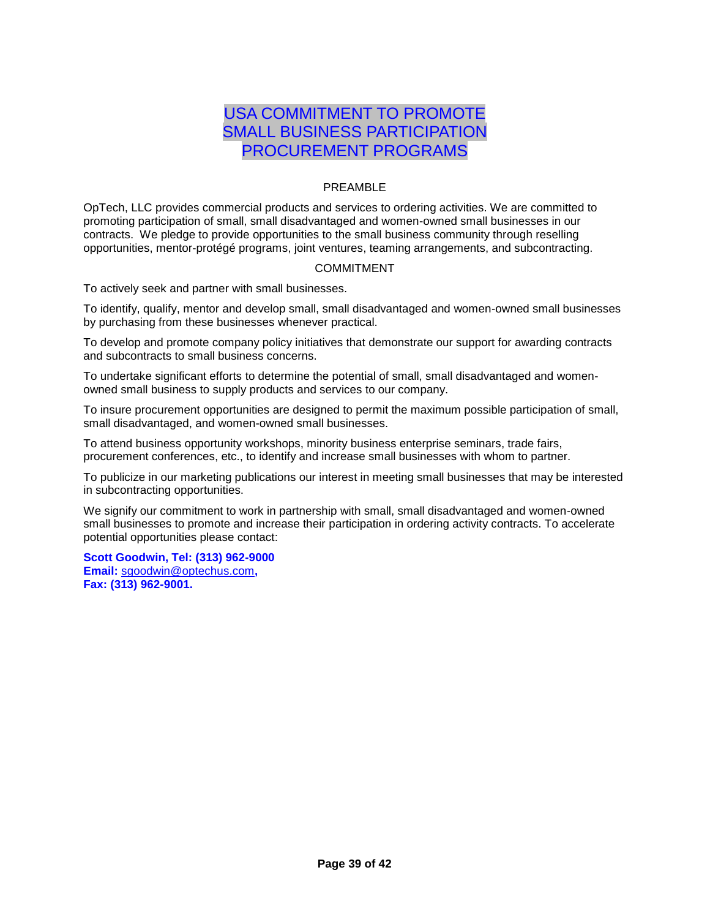## USA COMMITMENT TO PROMOTE SMALL BUSINESS PARTICIPATION PROCUREMENT PROGRAMS

### PREAMBLE

OpTech, LLC provides commercial products and services to ordering activities. We are committed to promoting participation of small, small disadvantaged and women-owned small businesses in our contracts. We pledge to provide opportunities to the small business community through reselling opportunities, mentor-protégé programs, joint ventures, teaming arrangements, and subcontracting.

### COMMITMENT

To actively seek and partner with small businesses.

To identify, qualify, mentor and develop small, small disadvantaged and women-owned small businesses by purchasing from these businesses whenever practical.

To develop and promote company policy initiatives that demonstrate our support for awarding contracts and subcontracts to small business concerns.

To undertake significant efforts to determine the potential of small, small disadvantaged and womenowned small business to supply products and services to our company.

To insure procurement opportunities are designed to permit the maximum possible participation of small, small disadvantaged, and women-owned small businesses.

To attend business opportunity workshops, minority business enterprise seminars, trade fairs, procurement conferences, etc., to identify and increase small businesses with whom to partner.

To publicize in our marketing publications our interest in meeting small businesses that may be interested in subcontracting opportunities.

We signify our commitment to work in partnership with small, small disadvantaged and women-owned small businesses to promote and increase their participation in ordering activity contracts. To accelerate potential opportunities please contact:

**Scott Goodwin, Tel: (313) 962-9000 Email:** [sgoodwin@optechus.com](mailto:sgoodwin@optechus.com)**, Fax: (313) 962-9001.**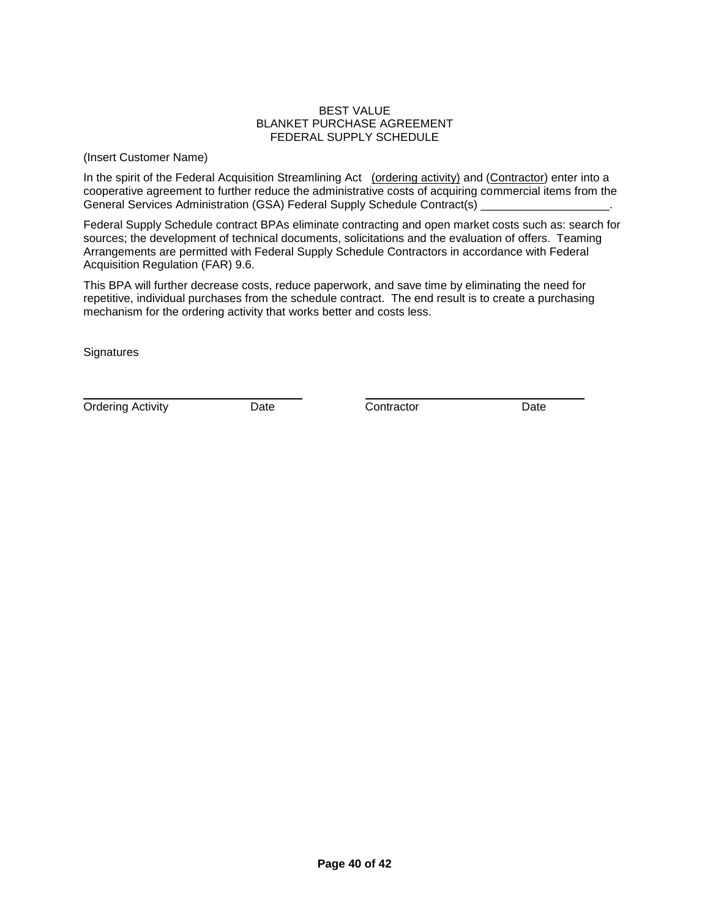#### BEST VALUE BLANKET PURCHASE AGREEMENT FEDERAL SUPPLY SCHEDULE

(Insert Customer Name)

In the spirit of the Federal Acquisition Streamlining Act (ordering activity) and (Contractor) enter into a cooperative agreement to further reduce the administrative costs of acquiring commercial items from the General Services Administration (GSA) Federal Supply Schedule Contract(s)

Federal Supply Schedule contract BPAs eliminate contracting and open market costs such as: search for sources; the development of technical documents, solicitations and the evaluation of offers. Teaming Arrangements are permitted with Federal Supply Schedule Contractors in accordance with Federal Acquisition Regulation (FAR) 9.6.

This BPA will further decrease costs, reduce paperwork, and save time by eliminating the need for repetitive, individual purchases from the schedule contract. The end result is to create a purchasing mechanism for the ordering activity that works better and costs less.

**Signatures** 

Ordering Activity **Date Date Contractor** Date **Date**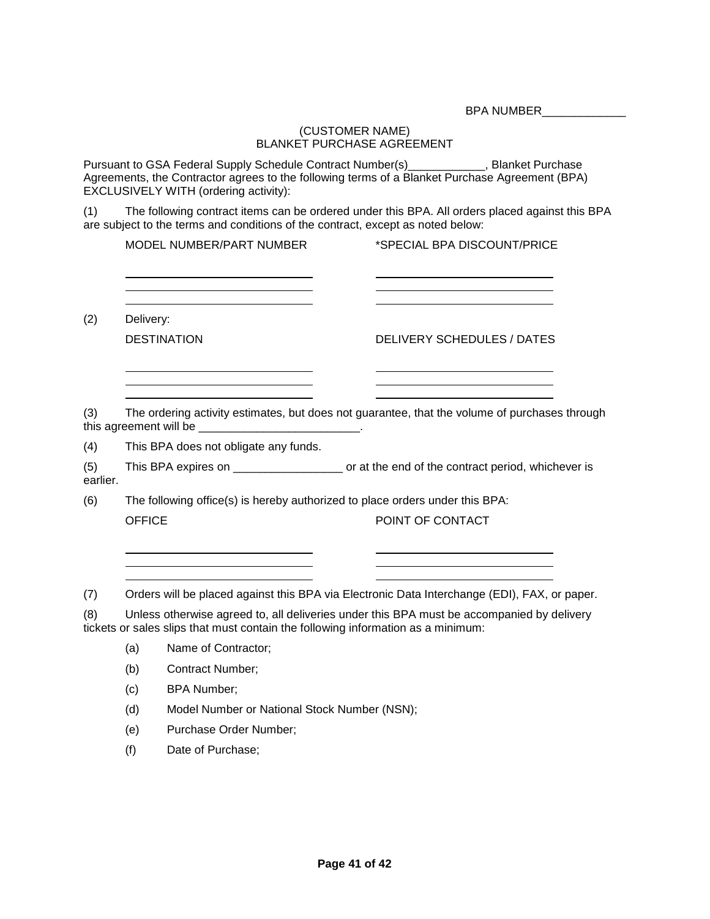BPA NUMBER\_\_\_\_\_\_\_\_\_\_\_\_\_\_

### (CUSTOMER NAME) BLANKET PURCHASE AGREEMENT

Pursuant to GSA Federal Supply Schedule Contract Number(s)\_\_\_\_\_\_\_\_\_\_\_\_, Blanket Purchase Agreements, the Contractor agrees to the following terms of a Blanket Purchase Agreement (BPA) EXCLUSIVELY WITH (ordering activity):

(1) The following contract items can be ordered under this BPA. All orders placed against this BPA are subject to the terms and conditions of the contract, except as noted below:

(2) Delivery:

DESTINATION DELIVERY SCHEDULES / DATES

<u> 1980 - Johann Barbara, martin a</u>

(3) The ordering activity estimates, but does not guarantee, that the volume of purchases through this agreement will be \_\_\_\_\_\_\_\_\_\_\_\_\_\_\_\_\_\_\_\_\_\_\_\_\_\_\_\_\_\_.

(4) This BPA does not obligate any funds.

<u> 1989 - Johann Barnett, fransk konge</u>

(5) This BPA expires on  $\blacksquare$  or at the end of the contract period, whichever is earlier.

(6) The following office(s) is hereby authorized to place orders under this BPA: OFFICE POINT OF CONTACT

(7) Orders will be placed against this BPA via Electronic Data Interchange (EDI), FAX, or paper.

(8) Unless otherwise agreed to, all deliveries under this BPA must be accompanied by delivery tickets or sales slips that must contain the following information as a minimum:

(a) Name of Contractor;

- (b) Contract Number;
- (c) BPA Number;
- (d) Model Number or National Stock Number (NSN);
- (e) Purchase Order Number;
- (f) Date of Purchase;